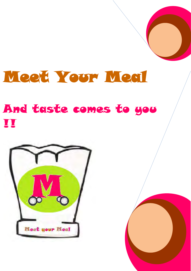# Meet Your Meal

# And taste comes to you **III**



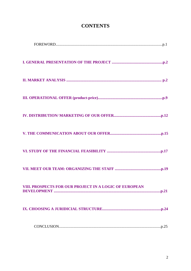| VIII. PROSPECTS FOR OUR PROJECT IN A LOGIC OF EUROPEAN |
|--------------------------------------------------------|
|                                                        |
|                                                        |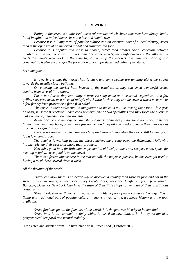#### FOREWORD

*Eating in the street is a universal ancestral practice which shows that men have always had a lot of imagination to feed themselves in a fast and simple way.* 

*Because it is a living form of popular culture and an essential part of a local identity, street food is the opposite of an imported global and standardized food.* 

*Because it is popular and close to people, street food creates social cohesion between inhabitants and their territory. It gives some life to the streets, the neighbourhoods, the villages... it feeds the people who work in the suburbs, it livens up the markets and generates sharing and conviviality. It also encourages the promotion of local products and culinary heritage.* 

*Let's imagine...* 

*It is early evening, the market hall is busy, and some people are ambling along the streets towards the usually closed building.* 

*On entering the market hall, instead of the usual stalls, they can smell wonderful scents coming from several little shops.* 

*For a few Euros, they can enjoy a farmer's soup made with seasonal vegetables, or a few grilled skewered meat, or a piece of today's pie. A little further, they can discover a warm meat pie or a few freshly fried prawns or a fresh fruit salad.* 

*The cooks in their stalls rival in imagination to make us fell like tasting their food : foie gras on toast, mushroom omelette... each cook prepares one or two specialties and they force the guests to make a choice, depending on their appetite.* 

*At the bar, people get together and share a drink. Some are young, some are older, some are living in the neighbourhood, others have just arrived and they all meet and exchange their impressions around an original flavour.*

 *Here, some men and women are very busy and earn a living when they were still looking for a job a few months ago.* 

*The butcher is working again, the cheese maker, the greengrocer, the fishmonger, following his example, do their best to promote their products.*

 *New jobs, good food for little money, promotion of local products and recipes, a new space for meeting people... street food is on the move!* 

*There is a festive atmosphere in the market hall, the mayor is pleased, he has even got used to having a meal there several times a week.*

*All the flavours of the world*

*Travellers know there is no better way to discover a country than taste its food and eat in the street: flavoured soups, sautéed rice, spicy kebab sticks, very hot doughnuts, fresh fruit salad... Bangkok, Dakar or New York City have the taste of their little shops rather than of their prestigious restaurants.*

*Street food, with its flavours, its noises and its life is part of each country's heritage. It is a living and traditional part of popular culture, it shows a way of life, it reflects history and the food available.* 

 *Street food has got all the flavours of the world. It is the gourmet identity of humankind.* 

*Street food is an economic activity which is based on new data, it is the expression of a geographical, temporal and mental mobility.* 

Translated and adapted from "Le livre blanc de la Street Food", October 2012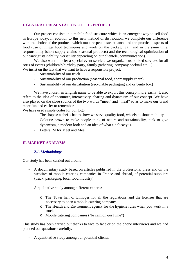#### **I. GENERAL PRESENTATION OF THE PROJECT**

Our project consists in a mobile food structure which is an emergent way to sell food in Europe today. In addition to this new method of distribution, we complete our difference with the choice of the products which must respect taste, balance and the practical aspects of food (use of finger food techniques and work on the packaging) and in the same time, responsibility (short supply chains, seasonal products) and the technological optimization of our truck(sustainability, versatility depending on our clientele, communication).

We also want to offer a special event service: we organize customized services for all sorts of events (children's birthday party, family gathering, company cocktail etc…) We insist on the fact that we want to have a responsible project:

- Sustainability of our truck
- Sustainability of our production (seasonal food, short supply chain)
- Sustainability of our distribution (recyclable packaging and or bento box)

We have chosen an English name to be able to export this concept more easily. It also refers to the idea of encounter, interactivity, sharing and dynamism of our concept. We have also played on the close sounds of the two words "meet" and "meal" so as to make our brand more fun and easier to remember.

We have used simple codes for our logo:

- The shapes: a chef's hat to show we serve quality food, wheels to show mobility.
- Colours: brown to make people think of nature and sustainability, pink to give dynamism, a modern look and an idea of what a delicacy is.
- Letters: M for Meet and Meal.

#### **II. MARKET ANALYSIS**

#### *2.1. Methodology*

Our study has been carried out around:

- A documentary study based on articles published in the professional press and on the websites of mobile catering companies in France and abroad, of potential suppliers (truck, packaging, local food industry)
- A qualitative study among different experts:
	- o The Town hall of Limoges for all the regulations and the licenses that are necessary to open a mobile catering company.
	- o The Health and Environment agency for the hygiene rules when you work in a truck
	- o Mobile catering companies ("le camion qui fume")

This study has been carried out thanks to face to face or on the phone interviews and we had planned our questions carefully.

- A quantitative study among our potential clients: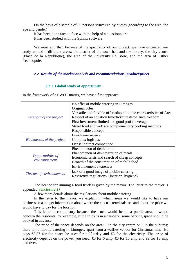On the basis of a sample of 80 persons structured by quotas (according to the area, the age and gender)

It has been done face to face with the help of a questionnaire.

It has been studied with the Sphinx software.

We must add that, because of the specificity of our project, we have organized our study around 4 different areas: the district of the town hall and the library, the city centre (Place de la République), the area of the university La Borie, and the area of Esther Technopole.

#### *2.2. Results of the market analysis and recommendations (product/price)*

#### **2.2.1. Global study of opportunity**

In the framework of a SWOT matrix, we have a first approach.

|                           | No offer of mobile catering in Limoges                              |
|---------------------------|---------------------------------------------------------------------|
| Strength of the project   | Original offer                                                      |
|                           | Versatile and flexible offer adapted to the characteristics of Area |
|                           | Respect of an equation time/ticket/taste/balance/freedom            |
|                           | First investment limited and good profit leverage                   |
|                           | Street food and wok are complementary cooking methods               |
|                           | Responsible concept                                                 |
|                           | Lunchtime service                                                   |
| Weaknesses of the project | Complex logistics                                                   |
|                           | Dense indirect competition                                          |
|                           | Phenomenon of denied time                                           |
|                           | Phenomenon of disintegration of meals                               |
| Opportunities of          | Economic crisis and search of cheap concepts                        |
| environnement             | Growth of the consumption of mobile food                            |
|                           | <b>Environnement</b> awareness                                      |
|                           | lack of a good image of mobile catering                             |
| Threats of environnement  | Restrictive regulations (location, hygiene)                         |
|                           |                                                                     |

The licence for running a food truck is given by the mayor. The letter to the mayor is appended. *(enclosure 1)*

A few more details about the regulations about mobile catering.

In the letter to the mayor, we explain in which areas we would like to have our business so as to get information about where the electric terminals are and about the price we would have to pay for the location.

This letter is compulsory because the truck would be on a public area, it would concern the residents: for example, if the truck is in a car-park, some parking space should be booked in advance.

The price of the space depends on the area: 1 in the city centre or 2 in the suburbs; there is no mobile catering in Limoges, apart from a waffles vendor for Christmas time. He pays  $\epsilon$ 3.57 for the space he uses for half-a-day and  $\epsilon$ 3 for the electricity. The price of electricity depends on the power you need:  $\bigoplus$  for 6 amp,  $\bigoplus$  for 10 amp and  $\bigoplus$  for 15 amp and over.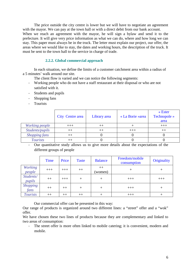The price outside the city centre is lower but we will have to negotiate an agreement with the mayor. We can pay at the town hall or with a direct debit from our bank account. When we reach an agreement with the mayor, he will sign a bylaw and send it to the prefecture. It will give very price information as what we can do, where and how long we can stay. This paper must always be in the truck. The letter must explain our project, our offer, the areas where we would like to stay, the dates and working hours, the description of the truck. It must be sent to the town hall to the service in charge of trade.

#### **2.2.2. Global commercial approach**

In each situation, we define the limits of a customer catchment area within a radius of a 5 minutes' walk around our site.

- The client flow is varied and we can notice the following segments:
- Working people who do not have a staff restaurant at their disposal or who are not satisfied with it.
- Students and pupils
- Shopping fans
- Tourists

|                      | City Centre area | Library area | « La Borie »area | $\triangle$ Ester<br>Technopole »<br>area |
|----------------------|------------------|--------------|------------------|-------------------------------------------|
| Working people       |                  |              |                  |                                           |
| Students/pupils      |                  | $++$         | $+++$            |                                           |
| <b>Shopping fans</b> |                  |              |                  |                                           |
| <b>Tourists</b>      |                  |              |                  |                                           |

- Our quantitative study allows us to give more details about the expectations of the different groups of people

|                          | <b>Time</b> | Price | <b>Taste</b> | <b>Balance</b>  | Freedom/mobile<br>consumption | Originality |
|--------------------------|-------------|-------|--------------|-----------------|-------------------------------|-------------|
| <b>Working</b><br>people | $+++$       | $+++$ | $++$         | $++$<br>(women) |                               |             |
| Students/<br>pupils      | $++$        | $+++$ | $^{+}$       | $\pm$           | $+++$                         | $+++$       |
| <b>Shopping</b><br>fans  | $++$        | $++$  | $\pm$        |                 | $+++$                         |             |
| <b>Tourists</b>          | $++$        | $++$  | $++$         |                 | $+++$                         |             |

Our commercial offer can be presented in this way:

Our range of products is organized around two different lines: a "street" offer and a "wok" offer.

We have chosen these two lines of products because they are complementary and linked to two areas of consumption:

- The street offer is more often linked to mobile catering; it is convenient, modern and mobile.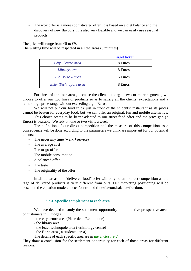- The wok offer is a more sophisticated offer; it is based on a diet balance and the discovery of new flavours. It is also very flexible and we can easily use seasonal products.

The price will range from  $\mathfrak{S}$  to  $\mathfrak{S}$ .

The waiting time will be respected in all the areas (5 minutes).

|                       | <b>Target ticket</b> |
|-----------------------|----------------------|
| City Centre area      | 8 Euros              |
| Library area          | 8 Euros              |
| « la Borie » area     | 5 Euros              |
| Ester Technopole area | 8 Euros              |

For three of the four areas, because the clients belong to two or more segments, we choose to offer our two lines of products so as to satisfy all the clients' expectations and a rather large price range without exceeding eight Euros.

We will not put our food truck just in front of the students' restaurant as its prices cannot be beaten for everyday food, but we can offer an original, fun and mobile alternative.

This choice seems to be better adapted to our street food offer and the price gap (2 Euros) is bearable. We rely on one or two visits a week.

The definition of our direct competition and the measure of this competition as a consequence will be done according to the parameters we think are important for our potential clients:

- The necessary time (walk +service)
- The average cost
- The to-go offer
- The mobile consumption
- A balanced offer
- The taste
- The originality of the offer

In all the areas, the "delivered food" offer will only be an indirect competition as the rage of delivered products is very different from ours. Our marketing positioning will be based on the equation moderate cost/controlled time/flavour/balance/freedom.

#### **2.2.3. Specific complement to each area**

We have decided to study the settlement opportunity in 4 attractive prospective areas of customers in Limoges.

- the city centre area (Place de la République)

- the library area
- the Ester technopole area (technology centre)
- the Borie area ( a students' area)
- The details of each specific area are in *the enclosure 2.*

They draw a conclusion for the settlement opportunity for each of those areas for different reasons.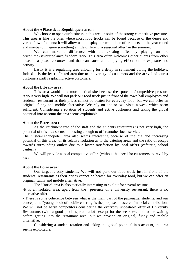#### **About the « Place de la République » area :**

We choose to open our business in this area in spite of the strong competitive pressure. This area is like the ones where most food trucks can be found because of the dense and varied flow of clients: it will allow us to display our whole line of products all the year round and maybe to imagine something a little different "a seasonal offer" in the summer.

We can make a difference with the existing offer by playing on the price/time /savour/balance/freedom ratio. This area often welcomes other clients from other areas in a pleasure context and that can cause a multiplying effect on the exposure and activity.

Lastly it is a regulating area allowing for a delay in settlement during the holidays. Indeed it is the least affected area due to the variety of customers and the arrival of tourist customers partly replacing active customers.

#### **About the Library area :**

This area would be a more tactical site because the potential/competitive pressure ratio is very high. We will not park our food truck just in front of the town hall employees and students' restaurant as their prices cannot be beaten for everyday food, but we can offer an original, funny and mobile alternative. We rely on one or two visits a week which seem sufficient. Considering a rotation of students and active customers and taking the global potential into account the area seems exploitable.

#### **About the Ester area :**

As the catchment rate of the staff and the students restaurants is not very high, the potential of this area seems interesting enough to offer another local service.

The "Ester-Technopole" area also seems interesting because of the big and increasing potential of this area, of its relative isolation as to the catering areas and the ratio of escape towards surrounding outlets due to a lower satisfaction by local offers (cafeteria, school canteen)

We will provide a local competitive offer (without the need for customers to travel by car).

#### **About the Borie area :**

 Our target is only students. We will not park our food truck just in front of the students' restaurants as their prices cannot be beaten for everyday food, but we can offer an original, funny and mobile alternative.

The "Borie" area is also tactically interesting to exploit for several reasons :

-It is an isolated area: apart from the presence of a university restaurant, there is no alternative offer.

- There is some coherence between what is the main part of the patronage: students, and our concept: the "young" look of mobile catering is the proposed mastered financial contribution. We will not be harsh competitors considering the everyday unbeatable offer of University Restaurants (with a good product/price ratio) except for the weakness due to the waiting before getting into the restaurant area, but we provide an original, funny and mobile alternative.

Considering a student rotation and taking the global potential into account, the area seems exploitable.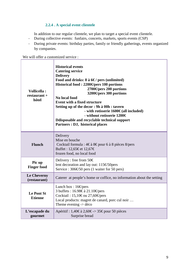# **2.2.4 . A special event clientele**

In addition to our regular clientele, we plan to target a special event clientele.

- During collective events: funfairs, concerts, markets, sports events (CSP)
- During private events: birthday parties, family or friendly gatherings, events organized by companies.

We will offer a customized service :

| <b>Vollicella:</b><br>$restaurant +$<br>hôtel | <b>Historical events</b><br><b>Catering service</b><br><b>Delivery</b><br>Food and drinks: $8$ à $6 \in$ / pers (unlimited)<br>Historical food: $2200\Theta$ pers 100 portions<br>2700 $\Theta$ pers 200 portions<br>3200€ pers 300 portions<br><b>No local food</b><br><b>Event with a fixed structure</b><br>Setting up of the decor : 9h à 00h : tavern<br>- with rotisserie $1600€(all included)$<br>- without rotisserie 1200€<br>Ddisposable and recyclable technical support<br>Partners : DJ, historical places |
|-----------------------------------------------|-------------------------------------------------------------------------------------------------------------------------------------------------------------------------------------------------------------------------------------------------------------------------------------------------------------------------------------------------------------------------------------------------------------------------------------------------------------------------------------------------------------------------|
| <b>Flunch</b>                                 | Delivery<br>Mise en bouche<br>Cocktail formula : 4€ à 8€ pour 6 à 8 pièces 8/pers<br>Buffet : 12,65€et 12,67€<br>frozen food, no local food                                                                                                                                                                                                                                                                                                                                                                             |
| Pic up<br><b>Finger food</b>                  | Delivery : free from $50 \in$<br>lent decoration and lay out: 115€50pers<br>Service : $306 \text{ } \text{\large}650$ pers (1 waiter for 50 pers)                                                                                                                                                                                                                                                                                                                                                                       |
| Le Cheverny<br>(restaurant)                   | Caterer at people's home or coffice, no information about the setting                                                                                                                                                                                                                                                                                                                                                                                                                                                   |
| <b>Le Pont St</b><br><b>Etienne</b>           | Lunch box: $16 \text{Gpers}$<br>3 buffets : 16.98€à 21.10€ pers<br>Cocktail: 15,10€ou 27,60€pers<br>Local products: magret de canard, porc cul noir<br>Theme evening $\rightarrow$ déco                                                                                                                                                                                                                                                                                                                                 |
| L'escapade du<br>gourmet                      | Apéritif : 1,40€à 2,60€-> 35€ pour 50 pièces<br>Surprise bread                                                                                                                                                                                                                                                                                                                                                                                                                                                          |

ä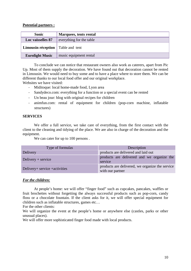#### **Potential partners :**

| <b>Sonic</b>                             | Marquees, tents rental   |
|------------------------------------------|--------------------------|
| Loc vaisselles 87                        | everything for the table |
| <b>Limousin réception</b> Table and tent |                          |
| <b>Eurolight Music</b>                   | music equipment rental   |

To conclude we can notice that restaurant owners also work as caterers, apart from Pic Up. Most of them supply the decoration. We have found out that decoration cannot be rented in Limousin. We would need to buy some and to have a place where to store them. We can be different thanks to our local food offer and our original workplace.

Websites we have visited:

- Miditoque: local home-made food, Lyon area
- Sandydeco.com: everything for a function or a special event can be rented
- Un beau jour: blog with original recipes for children
- animfun.com: rental of equipment for children (pop-corn machine, inflatable structures)

#### **SERVICES**

We offer a full service, we take care of everything, from the first contact with the client to the cleaning and tidying of the place. We are also in charge of the decoration and the equipment.

We can cater for up to 100 persons.

| Type of formulas               | Description                                                         |
|--------------------------------|---------------------------------------------------------------------|
| Delivery                       | products are delivered and laid out                                 |
| Delivery $+$ service           | products are delivered and we organize the<br>service               |
| Delivery+ service + activities | products are delivered, we organize the service<br>with our partner |

#### *For the children:*

At people's home: we will offer "finger food" such as cupcakes, pancakes, waffles or fruit brochettes without forgetting the always successful products such as pop-corn, candy floss or a chocolate fountain. If the client asks for it, we will offer special equipment for children such as inflatable structures, games etc…

For the other clients:

We will organize the event at the people's home or anywhere else (castles, parks or other unusual places).

We will offer more sophisticated finger food made with local products.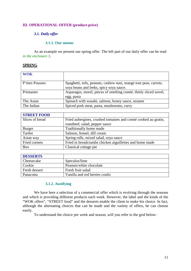#### **III. OPERATIONAL OFFER (product-price)**

#### *3.1. Daily offer*

#### **3.1.1. Our menus**

 As an example we present our spring offer. The left part of our daily offer can be read *in the enclosure 3*.

#### **SPRING**

| <b>WOK</b>      |                                                                   |
|-----------------|-------------------------------------------------------------------|
|                 |                                                                   |
| P'tites Pousses | Spaghetti, tofu, peanuts, cashew nuts, mange tout peas, carrots,  |
|                 | soya beans and leeks, spicy soya sauce.                           |
| Printanier      | Asparagus, morel, pieces of smelting comté, thinly sliced sorrel, |
|                 | egg, pasta                                                        |
| The Asian       | Spinach with wasabi, salmon, honey sauce, sesame                  |
| The Indian      | Spiced pork meat, pasta, mushrooms, curry                         |

| <b>STREET FOOD</b> |                                                                |
|--------------------|----------------------------------------------------------------|
| Slices of bread    | Fried aubergines, crushed tomatoes and comté cooked au gratin, |
|                    | roastbeef, salad, pepper sauce                                 |
| <b>Burger</b>      | Traditionally home made                                        |
| Tartlet            | Salmon, fennel, dill cream                                     |
| Asian way          | Spring rolls, mixed salad, soya sauce                          |
| Fried cornets      | Fried in breadcrumbs chicken aiguillettes and home made        |
| <b>Box</b>         | Classical cottage pie                                          |

| <b>DESSERTS</b> |                                |
|-----------------|--------------------------------|
| Cheesecake      | Speculos/lime                  |
| Cookie          | Peanuts/white chocolate        |
| Fresh dessert   | Fresh fruit salad              |
| Panacotta       | Vanilla and red berries coulis |

#### **3.1.2. Justifying**

We have here a selection of a commercial offer which is evolving through the seasons and which is providing different products each week. However, the label and the kinds of the "WOK offers", "STREET food" and the desserts enable the client to make his choice. In fact, although the alternating choices that can be made and the variety of offers, he can choose easily.

To understand the choice per week and season, will you refer to the grid below: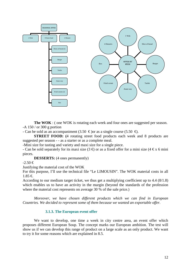

**The WOK** : ( one WOK is rotating each week and four ones are suggested per season. -A 150 / or 300 g portion

- Can be sold as an accompaniment (3.50  $\epsilon$ ) or as a single course (5.50  $\epsilon$ ).

**STREET FOOD:** (4 rotating street food products each week and 8 products are suggested per season - - as a starter or as a complete meal.

-Mini size for tasting and variety and maxi size for a single piece.

- Can be sold separately for its maxi size  $(3 \oplus \bullet)$  or as a fixed offer for a mini size  $(4 \oplus x)$  6 mini pieces.

**DESSERTS:** (4 ones permanently)

 $-2.50 \in$ 

Justifying the material cost of the WOK

For this purpose, I'll use the technical file "Le LIMOUSIN". The WOK material costs in all  $1.85 \in$ 

According to our medium target ticket, we thus get a multiplying coefficient up to 4.4 (8/1.8) which enables us to have an activity in the margin (beyond the standards of the profession where the material cost represents on average 30 % of the sale price.)

*Moreover, we have chosen different products which we can find in European Countries. We decided to represent some of them because we wanted an exportable offer.* 

#### **3.1.3. The European event offer**

We want to develop, one time a week in city centre area, an event offer which proposes different European Soup. The concept marks our European ambition. The test will show us if we can develop this range of product on a large scale as an only product. We want to try it for some reasons which are explained in 8.5.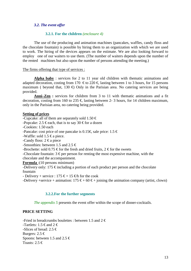#### *3.2. The event offer*

#### **3.2.1. For the children** *(enclosure 4)*

The use of the producing and animation machines (pancakes, waffles, candy floss and the chocolate fountain) is possible by hiring them to an organization with which we are used to work. The hiring of the devices appears on the estimate. We are also looking forward to employ one of our waiters to use them. (The number of waiters depends upon the number of the rented machines but also upon the number of persons attending the meeting.)

#### The firms offering that type of services :

**Alpha baby** : services for 2 to 11 year old children with thematic animations and adapted decoration, costing from 170  $\epsilon$  to 220  $\epsilon$  lasting between 1 to 3 hours, for 15 persons maximum ( beyond that, 130  $\oplus$  Only in the Parisian area. No catering services are being provided.

**Anni–Zen :** services for children from 3 to 11 with thematic animations and a fit decoration, costing from 160 to 235  $\in$  lasting between 2-3 hours, for 14 children maximum, only in the Parisian area, no catering being provided.

#### **Setting of prices**

-Cupcake: all of them are separately sold 1.50  $\in$ 

-Popcake: 2.5 € each, that is to say 30 € for a dozen

-Cookies: 1.50 each

-Pancake: cost price of one pancake is 0.15€, sale price:  $1.5 \in$ 

-Waffle: sold 1.5  $\epsilon$  a piece.

-Candy floss:  $2 \text{ } \in \mathbb{R}$  piece

-Smoothies: between 1.5 and 2.5  $\in$ 

-Brochette: sold 0.75  $\epsilon$  for the fresh and dried fruits, 2  $\epsilon$  for the sweets

-Chocolate fountain:  $3 \epsilon$  per person for renting the most expensive machine, with the

chocolate and the accompaniment.

**Formula** :(10 persons minimum)

-Delivery only: 175  $\epsilon$  including a portion of each product per person and the chocolate fountain

- Delivery + service : 175  $\epsilon$  + 15  $\epsilon$ h for the cook

-Delivery +service + animation:  $175 \epsilon + 60 \epsilon +$  joining the animation company (artist, clown)

#### **3.2.2.For the further segments**

*The appendix 5* presents the event offer within the scope of dinner-cocktails.

#### **PRICE SETTING**

-Fried in breadcrumbs boulettes : between 1.5 and  $2 \notin \mathbb{R}$ -Tartlets: 1.5  $\epsilon$  and 2  $\epsilon$ -Slices of bread: 2.5  $\in$ Burgers:  $2.5 \in$ Spoons: between 1.5 and 2.5  $\in$ Toasts:  $2.5 \in$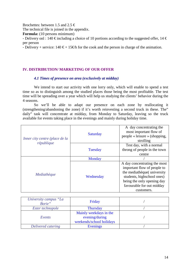Brochettes: between 1.5 and 2.5  $\in$ 

The technical file is joined in the appendix.

**Formula:** (10 persons minimum)

- Delivery onl : 140  $\epsilon$  including a choice of 10 portions according to the suggested offer, 14  $\epsilon$ per person

- Delivery + service: 140  $\epsilon$  + 15 $\epsilon$ h for the cook and the person in charge of the animation.

#### **IV. DISTRIBUTION/ MARKETING OF OUR OFFER**

#### *4.1 Times of presence on area (exclusively at midday)*

We intend to start our activity with one lorry only, which will enable to spend a test time so as to distinguish among the studied places those being the most profitable. The test time will be spreading over a year which will help us studying the clients' behavior during the 4 seasons.

So we'll be able to adapt our presence on each zone by reallocating it (strengthening/abandoning the zone) if it's worth reinvesting a second truck in these. The" daily" task will concentrate at midday, from Monday to Saturday, leaving so the truck available for events taking place in the evenings and mainly during holiday time.

| Inner city centre (place de la | Saturday  | A day concentrating the<br>most important flow of<br>people « leisure » (shopping,<br>strolling                                                                                                  |
|--------------------------------|-----------|--------------------------------------------------------------------------------------------------------------------------------------------------------------------------------------------------|
| république                     | Tuesday   | Test day, with a normal<br>throng of people in the town<br>centre                                                                                                                                |
|                                | Monday    |                                                                                                                                                                                                  |
| Mediathèque                    | Wednesday | A day concentrating the most<br>important flow of people to<br>the mediathèque(university<br>students, highschool ones)<br>being the only opening day<br>favourable for out midday<br>customers. |

| University campus "La<br>Borie" | Friday                                                               |  |
|---------------------------------|----------------------------------------------------------------------|--|
| Ester technopole                | <b>Thursday</b>                                                      |  |
| Events                          | Mainly weekdays in the<br>evening/during<br>weekends/school holidays |  |
| Delivered catering              | Evenings                                                             |  |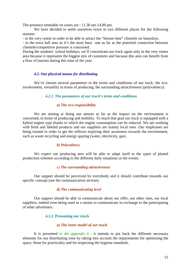The presence timetable on zones are : 11.30 am-14.00 pm.

We have decided to settle ourselves twice in two different places for the following reasons:

- in the very centre in order to be able to attract the "leisure time" clientele on Saturdays.

- in the town hall area as it's the most busy one as far as the potential connection between clientele/competitive pressure is concerned.

During the students' school holidays, we'll concentrate our truck again only in the very centre area because it represents the biggest mix of customers and because this area can benefit from a flow of tourists during this time of the year.

#### *4.2. Our physical means for distributing*

We've chosen several parameters in the terms and conditions of our truck: the ecoinvolvement, versatility in terms of producing, the surrounding attractiveness (polyvalency).

#### *4.2.1. The parameters of our truck's terms and conditions*

#### *a) The eco-responsibility*

We are aiming at doing our utmost as far as the impact on the environment is concerned, in terms of producing and mobility. To reach that goal our truck is equipped with a hybrid engine type thanks to which the engine consumption can be reduced. We are working with fresh and labeled products and our suppliers are mainly local ones .Our employees are being trained in order to get the reflexes implying their awareness towards the environment, such as waste recycling and energy sparing (water, electricity, gas).

#### *b) Polyvalency*

 We expect our producing area will be able to adapt itself to the types of planed production schemes according to the different daily situations or the events.

#### *c) The surrounding attractiveness*

Our support should be perceived by everybody and it should contribute towards our specific concept (see the communication section).

#### *d) The communicating level*

Our support should be able to communicate about our offer, our other sites, our local suppliers, indeed even being used as a means to communicate in exchange to the participating of other advertisers.

#### **4.2.2. Presenting our truck**

#### *a) The inner model of our truck*

It is presented *in the appendix 6* : it intends to put back the different necessary elements for our distributing zone by taking into account the requirements for optimizing the space, those for practicality and for respecting the hygiene standards.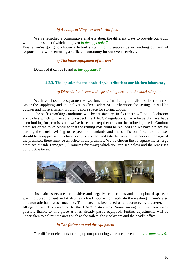#### *b) About providing our truck with food*

We've launched a comparative analysis about the different ways to provide our truck with it, the results of which are given *in the appendix 7*.

Finally we're going to choose a hybrid system, for it enables us in reaching our aim of responsibility while ensuring a sufficient autonomy for our event services.

#### *c) The inner equipment of the truck*

Details of it can be found *in the appendix 8*.

#### **4.2.3. The logistics for the producing/distribution: our kitchen laboratory**

#### *a) Dissociation between the producing area and the marketing one*

We have chosen to separate the two functions (marketing and distribution) to make easier the supplying and the deliveries (fixed address). Furthermore the setting up will be quicker and more efficient providing more space for storing goods.

The staff's working conditions will be satisfactory: in fact there will be a cloakroom and toilets which will enable to respect the HACCP regulations. To achieve that, we have been looking for premises and we've based our requirements on the following needs. Outdoor premises of the town centre so that the renting cost could be reduced and we have a place for parking the truck. Willing to respect the standards and the staff's comfort, our premises should be equipped with a cloakroom, toilets. To facilitate the work of the person in charge of the premises, there must be an office in the premises. We've chosen the 71 square meter large premises outside Limoges (10 minutes far away) which you can see below and the rent rises up to 550  $\epsilon$  taxes.



 Its main assets are the positive and negative cold rooms and its cupboard space, a washing up equipment and it also has a tiled floor which facilitate the washing. There's also an automatic hand wash machine. This place has been used as a laboratory by a caterer, the fittings of which correspond to the HACCP standards. Some saving up has been made possible thanks to this place as it is already partly equipped. Further adjustments will be undertaken to delimit the areas such as the toilets, the cloakroom and the head's office.

#### *b) The fitting out and the equipment*

The different elements making up our producing zone are presented *in the appendix 9*.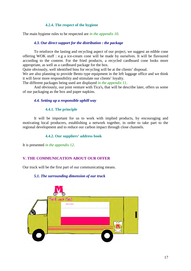#### **4.2.4. The respect of the hygiene**

The main hygiene rules to be respected are *in the appendix 10*.

#### *4.3. Our direct support for the distribution : the package*

To reinforce the lasting and recycling aspect of our project, we suggest an edible cone offering WOK stuff : e.g a ice-cream cone will be made by ourselves. It will be flavoured according to the content. For the fried products, a recycled cardboard cone looks more appropriate, as well as a cardboard package for the box.

Quite obviously, well identified bins for recycling will be at the clients' disposal.

We are also planning to provide Bento type equipment in the left luggage office and we think it will favor more responsibility and stimulate our clients' loyalty.

The different packages being used are displayed *in the appendix 11*.

And obviously, our joint venture with Tica's, that will be describe later, offers us some of our packaging as the box and paper napkins.

#### *4.4. Setting up a responsible uphill way*

#### **4.4.1. The principle**

It will be important for us to work with implied products, by encouraging and motivating local producers, establishing a network together, in order to take part to the regional development and to reduce our carbon impact through close channels.

#### **4.4.2. Our suppliers' address book**

It is presented *in the appendix 12*.

#### **V. THE COMMUNICATION ABOUT OUR OFFER**

Our truck will be the first part of our communicating means.

#### *5.1. The surrounding dimension of our truck*

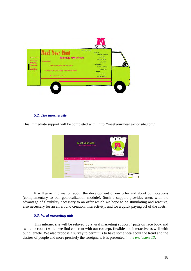

#### *5.2. The internet site*

This immediate support will be completed with : http://meetyourmeal.e-monsite.com/



It will give information about the development of our offer and about our locations (complementary to our geolocalization module). Such a support provides users with the advantage of flexibility necessary to an offer which we hope to be stimulating and reactive, also necessary for an all around creation, interactivity, and for a quick paying off of the costs.

#### *5.3. Viral marketing aids*

This internet site will be relayed by a viral marketing support ( page on face book and twitter account) which we find coherent with our concept, flexible and interactive as well with our clientele. We also propose a survey to permit us to have some idea about the trend and the desires of people and more precisely the foreigners, it is presented *in the enclosure 13*.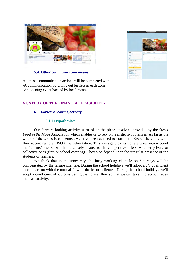



#### **5.4. Other communication means**

All these communication actions will be completed with: -A communication by giving out leaflets in each zone. -An opening event backed by local means.

#### **VI. STUDY OF THE FINANCIAL FEASIBILITY**

#### **6.1. Forward looking activity**

#### **6.1.1 Hypothesises**

Our forward looking activity is based on the piece of advice provided by the *Street Food in the Move* Association which enables us to rely on realistic hypothesizes. As far as the whole of the zones is concerned, we have been advised to consider a 3% of the entire zone flow according to an ISO time delimitation. This average picking up rate takes into account the "clients' losses" which are closely related to the competitive offers, whether private or collective ones.(firm or school catering). They also depend upon the irregular presence of the students or teachers.

We think that in the inner city, the busy working clientele on Saturdays will be compensated by the leisure clientele. During the school holidays we'll adopt a 2/3 coefficient in comparison with the normal flow of the leisure clientele During the school holidays we'll adopt a coefficient of 2/3 considering the normal flow so that we can take into account even the least activity.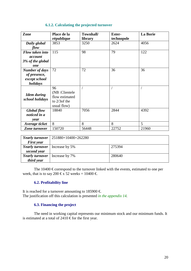#### **6.1.2. Calculating the projected turnover**

| Zone                                  | Place de la                                                              | Townhall/ | <b>Ester-</b> | <b>La Borie</b> |
|---------------------------------------|--------------------------------------------------------------------------|-----------|---------------|-----------------|
|                                       | république                                                               | library   | technopole    |                 |
| Daily global                          | 3853                                                                     | 3250      | 2624          | 4056            |
| flow                                  |                                                                          |           |               |                 |
| Flow taken into                       | 115                                                                      | 98        | 79            | 122             |
| account                               |                                                                          |           |               |                 |
| 3% of the global                      |                                                                          |           |               |                 |
| one                                   |                                                                          |           |               |                 |
| <b>Number of days</b>                 | 72                                                                       | 72        | 36            | 36              |
| of presence,                          |                                                                          |           |               |                 |
| except school                         |                                                                          |           |               |                 |
| holidays                              |                                                                          |           |               |                 |
| <b>Idem</b> during<br>school holidays | 96<br>(NB:Clientele)<br>flow estimated<br>to $2/3$ of the<br>usual flow) |           |               |                 |
| Global flow                           | 18840                                                                    | 7056      | 2844          | 4392            |
| noticed in a                          |                                                                          |           |               |                 |
| year                                  |                                                                          |           |               |                 |
| Average ticket                        | 8                                                                        | 8         | 8             | 5               |
| Zone turnover                         | 150720                                                                   | 56448     | 22752         | 21960           |

| <b>Yearly turnover</b> | $\mid$ 251880+10400=262280 |        |
|------------------------|----------------------------|--------|
| <b>First year</b>      |                            |        |
| <b>Yearly turnover</b> | Increase by 5%             | 275394 |
| second year            |                            |        |
| <b>Yearly turnover</b> | Increase by 7%             | 280640 |
| third year             |                            |        |

The  $10400 \text{ } \in$  correspond to the turnover linked with the events, estimated to one per week, that is to say 200  $\text{E } \overline{x}$  52 weeks = 10400  $\text{E}$ .

## **6.2. Profitability line**

It is reached for a turnover amounting to 185900  $\in$ The justification off this calculation is presented *in the appendix 14.*

#### **6.3. Financing the project**

 The need in working capital represents our minimum stock and our minimum funds. It is estimated at a total of 2410  $\epsilon$  for the first year.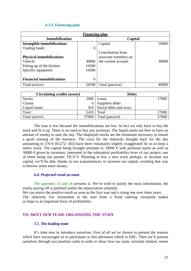#### **6.3.1. Financing plan**

| <b>Financing plan</b>             |          |                      |       |  |  |  |  |  |  |
|-----------------------------------|----------|----------------------|-------|--|--|--|--|--|--|
| <b>Immobilization</b>             |          | Capital              |       |  |  |  |  |  |  |
| <b>Intangible immobilizations</b> |          | Capital              | 10000 |  |  |  |  |  |  |
| Trading funds                     | $\Omega$ |                      |       |  |  |  |  |  |  |
|                                   |          | Contribution from    |       |  |  |  |  |  |  |
| <b>Physical immobilizations</b>   |          | associate members on |       |  |  |  |  |  |  |
| Vehicle                           | 30000    | the current account  | 30000 |  |  |  |  |  |  |
| Fitting up of the kitchen         | 10290    |                      |       |  |  |  |  |  |  |
| Specific equipment                | 14300    |                      |       |  |  |  |  |  |  |
|                                   |          |                      |       |  |  |  |  |  |  |
| <b>Financial immobilizations</b>  | $\theta$ |                      |       |  |  |  |  |  |  |
| Total (active)                    | 54590    | Total (passive)      |       |  |  |  |  |  |  |

| <b>Circulating credits (assets)</b> |       | <b>Debts</b>               |       |  |
|-------------------------------------|-------|----------------------------|-------|--|
| <b>Stocks</b>                       | 2000  | Loans                      | 17000 |  |
| Claims                              |       | Suppliers debts            |       |  |
| Liquid assets                       |       | 410 Social debts and taxes |       |  |
| Total                               | 2410  | Total                      | 17000 |  |
| Total (active)                      | 57000 | Total (passive)            | 57000 |  |

The loan is low because the immobilizations are low. In fact we only have to buy the truck and fit it up. There is no need to buy any premises. The liquid assets are here to have an amount of money to start the day. The displayed stocks are the minimum necessary to ensure a good running of the business. The costs for the materials brought back for the day amounting to 170  $\epsilon$ (61272: 365) have been voluntarily slightly exaggerated by us to keep a safety stock. The capital being brought amounts to  $10000 \in \text{with personal assets as well as}$  $30000 \text{ } \in \mathbb{R}$  given by investors, interested in the substantial profitability lever of our project, one of them being our partner TICA'S. Planning to buy a new truck perhaps, to increase our capital, we'll be able, thanks to our acquaintances, to increase our capital, avoiding that way to borrow some more money.

#### *6.4. Projected result account*

*The appendix 15 and 16* presents it. We've tried to justify the most information, the yearly paying off is justified within the depreciation schedule.

We can notice the positive result as soon as the first year and a rising one over three years. The relatively low investment at the start from a fixed catering viewpoint makes us hope in an important lever of profitability.

#### **VII. MEET OUR TEAM: ORGANIZING THE STAFF**

#### *7.1. The leading team*

It's time now to introduce ourselves. First of all we've chosen to present the reasons which have encouraged us to participate in this adventure which is EBG. Then we'll present ourselves through two position cards in order to show how our team, certainly limited, seems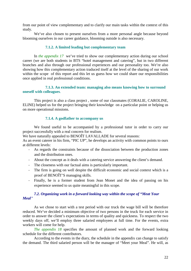from our point of view complementary and to clarify our main tasks within the context of this study.

We've also chosen to present ourselves from a more personal angle because beyond blooming ourselves in our career guidance, blooming outside is also necessary.

#### **7.1.2. A limited leading but complementary team**

In *the appendix 17* we've tried to show our complementary action during our school career (we are both students in BTS "hotel management and catering", but in two different branches and also through our professional experiences and our personality too. We're also showing how this complementary action traduced itself at the level of the sharing of our work within the scope of this report and this let us guess how we could share our responsibilities once applied in real professional conditions.

#### **7.1.3. An extended team: managing also means knowing how to surround oneself with colleagues**.

This project is also a class project , some of our classmates (CORALIE, CAROLINE, ELINE) helped us for the project bringing their knowledge on a particular point or helping us on more operational missions.

#### **7.1.4. A godfather to accompany us**

We found useful to be accompanied by a professional tutor in order to carry our project successfully with a real concern for realism.

We have naturally appealed to BENOÎT LAVALLADE for several reasons:

As an event caterer in his firm, "PIC UP", he develops an activity with common points to ours at different levels:

- As regards the constraints because of the dissociation between the production zones and the distribution ones.
- About the concept as it deals with a catering service answering the client's demand.
- The closeness with our factual aims is particularly important.
- The firm is going on well despite the difficult economic and social context which is a proof of BENOÎT'S managing skills.
- Finally, he is a former student from Jean Monet and the idea of passing on his experience seemed to us quite meaningful in this scope.

#### *7.2. Organizing work in a forward looking way within the scope of "Meat Your Meal"*

As we chose to start with a test period with our truck the wage bill will be therefore reduced. We've decided a minimum objective of two persons in the truck for each service in order to answer the client's expectations in terms of quality and quickness. To respect the two weekly days off, we'll employ three salaried employees at full time. For the events, extra workers will come for help.

*The appendix 18* specifies the amount of planned work and the forward looking schedule for the different contributors.

According to the events in the diary, the schedule in the appendix can change to satisfy the demand. The third salaried person will be the manager of "Meet your Meal". He will, as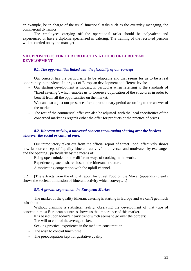an example, be in charge of the usual functional tasks such as the everyday managing, the commercial dynamics.

The employees carrying off the operational tasks should be polyvalent and experienced or have a diploma specialized in catering. The training of the recruited persons will be carried on by the manager.

#### **VIII. PROSPECTS FOR OUR PROJECT IN A LOGIC OF EUROPEAN DEVELOPMENT**

#### *8.1. The opportunities linked with the flexibility of our concept*

Our concept has the particularity to be adaptable and that seems for us to be a real opportunity in the view of a project of European development at different levels:

- Our starting development is modest, in particular when referring to the standards of "fixed catering", which enables us to foresee a duplication of the structures in order to benefit from all the opportunities on the market.
- We can also adjust our presence after a probationary period according to the answer of the market.
- The rest of the commercial offer can also be adjusted with the local specificities of the concerned market as regards either the offer for products or the practice of prices.

#### *8.2. Itinerant activity, a universal concept encouraging sharing over the borders, whatever the social or cultural ones.*

Our introductory taken out from the official report of Street Food, effectively shows how far our concept of "quality itinerant activity" is universal and motivated by exchanges and the opening , particularly by the means of:

- Being open-minded to the different ways of cooking in the world.
- Experiencing social share close to the itinerant structure.
- A motivating cooperation with the uphill channel.

OR (The extracts from the official report for Street Food on the Move (appendix) clearly shows the societal dimension of itinerant activity which conveys…)

#### *8.3. A growth segment on the European Market*

The market of the quality itinerant catering is starting in Europe and we can't get much info about it.

Without claiming a statistical reality, observing the development of that type of concept in most European countries shows us the importance of this market.

It is based upon today's heavy trend which seems to go over the borders:

- The will to control the average ticket.
- Seeking practical experience in the medium consumption.
- The wish to control lunch time.
- The preoccupation kept for gustative quality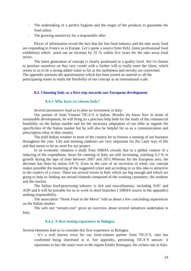- The undertaking of a perfect hygiene and the origin of the products to guarantee the food safety.
- The growing sensitivity for a responsible offer.

Pieces of information reveal the fact that the fast food industry and the take away food are expanding in France as in Europe. Let's quote a source from SIAL (inter professional food exhibition) which point out an increase by 52 % within five years for the take away food sector.

The latest generation of concept is clearly positioned at a quality level. We've chosen to position ourselves on that very crenel with a further will to really meet the client, which seems to us to be a strong added value as far as the usefulness and novelty are concerned. The appendix presents the questionnaire which has been joined on internet to all the participating teams to study the flexibility of our concept at an international scale.

#### **8.4. Choosing Italy as a first step towards our European development**

#### **8.4.1. Why have we chosen Italy?**

#### *Several parameters lead us to plan an investment in Italy.*

 Our partner of Joint Venture TICA'S is Italian. Besides his know how in terms of sustainable development, he will bring us a precious help both for the study of the commercial feasibility on the Italian market and for the necessary adaptation of our offer as regards the specificities of the Italian market but he will also be helpful for us as a communication and prescription relay in that country.

 The mild Italian weather in most of the country let us foresee a running of our business throughout the year. Life and meeting outdoors are very important for the Latin way of life and that seems to be an asset for our project.

In an economic situation a study from SIRHA reveals that in a global context of a reducing of the expenditure, those for catering in Italy are still increasing, reaching 0.3 % in growth during the laps of time between 2007 and 2011.Whereas for the European area, the decrease has been by minus 0.8 %. Even in the case of an inversion of trend, our concept makes possible the mastering of the suggested ticket and according to us this idea is attractive in the context of a crisis. There are several towns in Italy which are big enough and which are going to help us finding our mixed clientele composed of the working customers, the students and the tourists.

The Italian food-processing industry is rich and miscellaneous, including AOC and AOP and it will be possible for us to work in short branches ( SIRHA source in the appendix) seeking responsibility.

The association "Street Food in the Move" told us about a few concluding experiences on the Italian market.

The web site "streatit.com" gives an overview about several initiatives undertaken in Italy.

#### **8.4.2. A first testing experience in Bologna**

Several elements lead us to consider this first experience in Bologna:

- It's a well known town for our Joint-venture partner from TICA'S, who has confirmed being interested in it. See appendix, presenting TICA'S answer. it represents in fact the main town in the region Emilie Romagna, the richest one in Italy.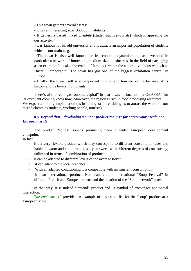- This town gathers several assets:

- It has an interesting size (350000 inhabitants).

- It gathers a varied mixed clientele (students/active/tourists) which is appealing for our activity.

 -It is famous for its old university and it attracts an important population of students which is our main target.

- The town is also well known for its economic dynamism: it has developed in particular a network of innovating medium-sized businesses, in the field of packaging as an example. It is also the cradle of famous firms in the automotive industry, such as Ducati, Lamborghini. The town has got one of the biggest exhibition centre in Europe.

- finally the town itself is an important cultural and touristic centre because of its history and its lovely monuments.

There's also a real "gastronomic capital" in that town, nicknamed "la GRASSA" for its excellent cooking know how. Moreover, the region is rich in food processing resources. We expect a turning implantation (as in Limoges) for enabling us to attract the whole of our mixed clientele (students, working people, tourists)

#### *8.5. Beyond that…developing a cursor product "soups" for "Meet your Meal" at a European scale*

The product "soups" sounds promising from a wider European development viewpoint.

In fact:

- It's a very flexible product which may correspond to different consumption uses and habits: a warm and cold product, salty or sweet, with different degrees of consistency, unlimited in terms of combination of products.
- It can be adapted to different levels of the average ticket.
- it can adapt to the local branches.
- With an adapted conditioning it is compatible with an itinerant consumption.
- It's an international product, European, as the international "Soup Festival" in different French and European towns and the creation of the "Soup network" prove it.

In that way, it is indeed a "stand" product and a symbol of exchanges and social interaction.

*The enclosure 19* provides an example of a possible list for the "soup" product at a European scale.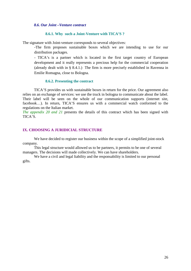#### *8.6. Our Joint –Venture contract*

#### **8.6.1. Why such a Joint-Venture with TICA'S ?**

The signature with Joint-venture corresponds to several objectives:

-The firm proposes sustainable boxes which we are intending to use for our distribution packages.

- TICA's is a partner which is located in the first target country of European development and it really represents a precious help for the commercial cooperation (already dealt with in § 8.4.1.) The firm is more precisely established in Ravenna in Emilie Romagna, close to Bologna.

#### **8.6.2. Presenting the contract**

TICA'S provides us with sustainable boxes in return for the price. Our agreement also relies on an exchange of services: we use the truck in bologna to communicate about the label. Their label will be seen on the whole of our communication supports (internet site, facebook…). In return, TICA'S ensures us with a commercial watch conformed to the regulations on the Italian market.

*The appendix 20 and 21* presents the details of this contract which has been signed with TICA'S.

#### **IX. CHOOSING A JURIDICIAL STRUCTURE**

We have decided to register our business within the scope of a simplified joint-stock company.

 This legal structure would allowed us to be partners, it permits to be one of several managers. The decisions will made collectively. We can have shareholders.

We have a civil and legal liability and the responsability is limited to our personal gifts.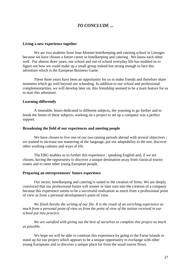# *TO CONCLUDE ...*

#### **Living a new experience together**

We are two students from Jean Monnet hotelkeeping and catering school in Limoges because we have chosen a future career in hotelkeeping and catering . We know each other well . For almost three years, our school and out of school everyday life has enabled us to figure out how we could make up a small group indeed but strong enough to face this adventure which is the European Business Game.

 These three years have been an opportunity for us to make friends and therefore share moments which go well beyond our schooling. In addition to our school and professional complementarities, we will develop later on, this friendship seemed to be a main feature for us to start this adventure.

#### **Learning differently**

 A timetable, hours dedicated to different subjects, the yearning to go further and to break the limits of these subjects, working on a project to set up a company was a perfect support.

#### **Broadening the field of our experiences and meeting people**

We have chosen to live one of our two taining periods abroad with several objectives : we wanted to increase our mastering of the language, put our adaptability to the test, discover other working cultures and ways of life.

 The EBG enables us to further this experience : speaking English and, if we are chosen, having the opportunity to discover a unique destination away from classical tourist routes and to meet other young European people.

#### **Preparing an entrepreneuses' future experience**

 Our sector, hotelkeeping and catering is suited to the creation of firms. We are deeply convinced that our professional future will sooner or later turn into the creation of a company because this experience seems to be a successful realization as much from a professional point of view as from a personal development's point of view.

 *We finish hereby the writing of our file. It is the result of an enriching experience as much from a personal point of view as from the point of view of the tuition received in our school put into practice.* 

 *We are satisfied with giving out the best of ourselves to complete this project as much as possible.* 

We hope we will be able to continue this experience by going to the Faroe Islands to stand up for our project which appears to be a unique opportunity to exchange with other young Europeans and to discover a unique place far from the usual tourist flows.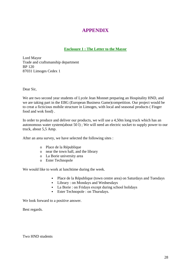# **APPENDIX**

#### **Enclosure 1 : The Letter to the Mayor**

Lord Mayor Trade and craftsmanship department BP 120 87031 Limoges Cedex 1

Dear Sir,

We are two second year students of Lycée Jean Monnet preparing an Hospitality HND, and we are taking part in the EBG (European Business Game)competition. Our project would be to creat a ficticious mobile structure in Limoges, with local and seasonal products ( Finger food and wok food) .

In order to produce and deliver our products, we will use a 4,50m long truck which has an autonomous water system(about 50 l) ; We will need an electric socket to supply power to our truck, about 5,5 Amp.

After an area survey, we have selected the following sites :

- o Place de la République
- o near the town hall, and the library
- o La Borie university area
- o Ester Technopole

We would like to work at lunchtime during the week.

- Place de la République (town centre area) on Saturdays and Tuesdays
- Library : on Mondays and Wednesdays
- La Borie : on Fridays except during school holidays
- Ester Technopole : on Thursdays.

We look forward to a positive answer.

Best regards.

Two HND students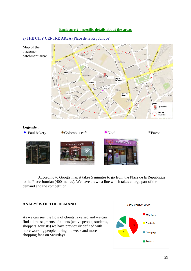#### **Enclosure 2 : specific details about the areas**

#### a) THE CITY CENTRE AREA (Place de la Republique)



According to Google map it takes 5 minutes to go from the Place de la Republique to the Place Jourdan (400 metres). We have drawn a line which takes a large part of the demand and the competition.

#### **ANALYSIS OF THE DEMAND**

As we can see, the flow of clients is varied and we can find all the segments of clients (active people, students, shoppers, tourists) we have previously defined with more working people during the week and more shopping fans on Saturdays.

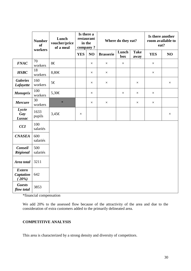|                                            | <b>Number</b><br><b>of</b><br>workers | Lunch<br>voucher/price<br>of a meal | restaurant<br>in the<br>company? |          |                  |              | Is there a<br>Where do they eat? |            |          | Is there another<br>room available to<br>eat? |  |  |
|--------------------------------------------|---------------------------------------|-------------------------------------|----------------------------------|----------|------------------|--------------|----------------------------------|------------|----------|-----------------------------------------------|--|--|
|                                            |                                       |                                     | <b>YES</b>                       | NO       | <b>Brasserie</b> | Lunch<br>box | <b>Take</b><br>away              | <b>YES</b> | NO       |                                               |  |  |
| <b>FNAC</b>                                | 70<br>workers                         | $8 \in$                             |                                  | $\times$ | $\times$         | $\times$     |                                  | $\times$   |          |                                               |  |  |
| <b>HSBC</b>                                | 18<br>workers                         | 8,80€                               |                                  | $\times$ | $\times$         |              |                                  | $\times$   |          |                                               |  |  |
| <b>Galeries</b><br>Lafayette               | 160<br>workers                        | 5€                                  |                                  | $\times$ | $\times$         |              | $\times$                         |            | $\times$ |                                               |  |  |
| Monoprix                                   | 100<br>workers                        | 5,30€                               |                                  | $\times$ |                  | $\times$     | $\times$                         | $\times$   |          |                                               |  |  |
| <b>Mercure</b>                             | 30<br>workers                         | $\ast$                              |                                  | $\times$ | $\times$         |              | $\times$                         | $\times$   |          |                                               |  |  |
| Lycée<br>Gay<br>Lussac                     | 1633<br>pupils                        | $3,45 \in$                          | $\times$                         |          |                  |              |                                  |            | $\times$ |                                               |  |  |
| <b>CCI</b>                                 | 100<br>salariés                       |                                     |                                  |          |                  |              |                                  |            |          |                                               |  |  |
| <b>CNASEA</b>                              | 600<br>salariés                       |                                     |                                  |          |                  |              |                                  |            |          |                                               |  |  |
| Conseil<br>Régional                        | 500<br>salariés                       |                                     |                                  |          |                  |              |                                  |            |          |                                               |  |  |
| Area total                                 | 3211                                  |                                     |                                  |          |                  |              |                                  |            |          |                                               |  |  |
| <b>Extern</b><br><b>Captation</b><br>(20%) | 642                                   |                                     |                                  |          |                  |              |                                  |            |          |                                               |  |  |
| <b>Guests</b><br>flow total                | 3853                                  |                                     |                                  |          |                  |              |                                  |            |          |                                               |  |  |

\*financial compensation

We add 20% to the assessed flow because of the attractivity of the area and due to the consideration of extra customers added to the primarily delineated area.

#### **COMPETITIVE ANALYSIS**

This area is characterized by a strong density and diversity of competitors.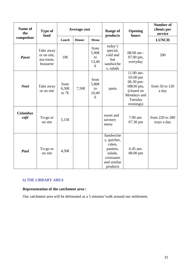| Name of<br>the          | <b>Type of</b><br>food                             |                        | <b>Average cost</b> |                                   | <b>Range of</b><br>products                                                                        | Opening<br>hours                                                                                     | <b>Number of</b><br>clients per<br>service |
|-------------------------|----------------------------------------------------|------------------------|---------------------|-----------------------------------|----------------------------------------------------------------------------------------------------|------------------------------------------------------------------------------------------------------|--------------------------------------------|
| competitor              |                                                    | Lunch                  | <b>Dinner</b>       | Menu                              |                                                                                                    |                                                                                                      | <b>LUNCH</b>                               |
| <b>Pavot</b>            | Take away<br>or on site,<br>tea-room,<br>brasserie | $10 \in$               |                     | from<br>5,90€<br>to<br>13,40<br>€ | today's<br>special,<br>cold and<br>hot<br>sandwiche<br>s, salads                                   | 08.00 am -<br>07.00 pm,<br>everyday                                                                  | 200                                        |
| Nooï                    | Take away<br>or on site                            | from<br>6,50€<br>to 7€ | 7,50€               | from<br>5,80€<br>to<br>10,40<br>€ | pasta                                                                                              | 11.00 am-<br>03.00 pm<br>06.30 pm-<br>08h30 pm,<br>(closed on<br>Mondays and<br>Tuesday<br>evenings) | from 50 to 120<br>a day                    |
| <b>Colombus</b><br>café | To-go or<br>on site                                | 5,15€                  |                     |                                   | sweet and<br>savoury<br>menu                                                                       | 7.00 am-<br>07.30 pm                                                                                 | from 220 to 280<br>trays a day             |
| Paul                    | To-go or<br>on site                                | 4,50€                  |                     |                                   | Sandwiche<br>s, quiches,<br>cakes,<br>paninis,<br>salads,<br>croissants<br>and similar<br>products | 6.45 am-<br>$08.00$ pm                                                                               |                                            |

# b) THE LIBRARY AREA

# **Representation of the catchment area :**

Our catchment area will be delineated as a 5 minutes'walk around our settlement.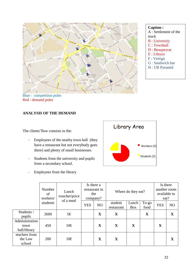

**Caption :** 

- A : Settlement of the truck
- B : University
- C : Townhall
- D : Beaupeyrat
- E : Library
- F : Vertigo
- G : Sandwich bar
- H : UR Pyramid

# **ANALYSIS OF THE DEMAND**

The clients'flow consists in the:

- Employees of the nearby town hall (they have a restaurant but not everybody goes there) and plenty of small businesses.
- Students from the university and pupils from a secondary school.
- Employees from the library



|                                        | Number<br>of<br>workers/ | Lunch<br>voucher/price |            | Is there a<br>restaurant in<br>the<br>company? |                       | Where do they eat?  |               | Is there<br>another room<br>available to<br>eat? |                |
|----------------------------------------|--------------------------|------------------------|------------|------------------------------------------------|-----------------------|---------------------|---------------|--------------------------------------------------|----------------|
|                                        | students                 | of a meal              | <b>YES</b> | N <sub>O</sub>                                 | student<br>restaurant | Lunch<br><b>Box</b> | To-go<br>food | <b>YES</b>                                       | N <sub>O</sub> |
| Students /<br>pupils                   | 2600                     | 5€                     |            | $\mathbf X$                                    | $\mathbf X$           |                     | $\mathbf X$   |                                                  | $\mathbf X$    |
| Administration<br>town<br>hall/library | 450                      | $10 \in$               |            | $\mathbf X$                                    | $\mathbf{X}$          | $\mathbf X$         |               | X                                                |                |
| teachers from<br>the Law<br>school     | 200                      | $10 \in$               |            | $\mathbf X$                                    | X                     |                     |               |                                                  | $\mathbf X$    |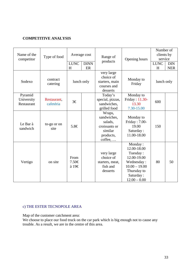## **COMPETITIVE ANALYSIS**

| Name of the<br>competitor           | Type of food             |                        | Average cost      | Range of                                                                             | Opening hours                                                                                                                    | Number of<br>clients by<br>service |                          |
|-------------------------------------|--------------------------|------------------------|-------------------|--------------------------------------------------------------------------------------|----------------------------------------------------------------------------------------------------------------------------------|------------------------------------|--------------------------|
|                                     |                          | <b>LUNC</b><br>H       | <b>DINN</b><br>ER | products                                                                             |                                                                                                                                  | <b>LUNC</b><br>H                   | <b>DIN</b><br><b>NER</b> |
| Sodexo                              | contract<br>catering     | lunch only             |                   | very large<br>choice of<br>starters, main<br>courses and<br>desserts                 | Monday to<br>Friday                                                                                                              | lunch only                         |                          |
| Pyramid<br>University<br>Restaurant | Restaurant,<br>cafetéria | $3 \in$                |                   | Today's<br>special, pizzas,<br>sandwiches,<br>grilled food                           | Monday to<br>Friday: 11.30-<br>13.30<br>7.30-15.00                                                                               | 600                                |                          |
| Le Bar à<br>sandwich                | to-go or on<br>site      | 5.8€                   |                   | Wraps,<br>sandwiches,<br>salads,<br>croissants or<br>similar<br>products,<br>coffee, | Monday to<br>Friday: 7.00-<br>19.00<br>Saturday:<br>11.00-18.00                                                                  | 150                                |                          |
| Vertigo                             | on site                  | From<br>7.50€<br>à 19€ |                   | very large<br>choice of<br>starters, meat,<br>fish and<br>desserts                   | Monday:<br>12.00-18.00<br>Tuesday:<br>12.00-19.00<br>Wednesday:<br>$10.00 - 19.00$<br>Thursday to<br>Saturday:<br>$12.00 - 0.00$ | 80                                 | 50                       |

# c) THE ESTER TECNOPOLE AREA

Map of the customer catchment area:

We choose to place our food truck on the car park which is big enough not to cause any trouble. As a result, we are in the centre of this area.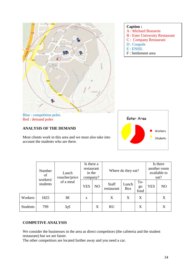

#### **Caption :**

- A : Michard Brasserie
- B : Ester University Restaurant
- C : Company Restaurant
- D : Coupole
- $E : ENSIL$
- F : Settlement area

Blue : competition poles Red : demand poles

#### **ANALYSIS OF THE DEMAND**

Most clients work in this area and we must also take into account the students who are there.



|                 | Number<br>of<br>workers/ | Lunch<br>voucher/price | Is there a<br>restaurant<br>in the<br>company? |    |                            |                     | Where do they eat? |            |                | Is there<br>another room<br>available to<br>eat? |  |
|-----------------|--------------------------|------------------------|------------------------------------------------|----|----------------------------|---------------------|--------------------|------------|----------------|--------------------------------------------------|--|
|                 | students                 | of a meal              | <b>YES</b>                                     | NO | <b>Staff</b><br>restaurant | Lunch<br><b>Box</b> | To-<br>go<br>food  | <b>YES</b> | N <sub>O</sub> |                                                  |  |
| Workers         | 1825                     | 8€                     | X                                              |    | X                          | X                   | X                  |            | X              |                                                  |  |
| <b>Students</b> | 799                      | 3ç€                    |                                                | X  | <b>RU</b>                  |                     | X                  |            | X              |                                                  |  |

## **COMPETIVE ANALYSIS**

We consider the businesses in the area as direct competitors (the cafeteria and the student restaurant) but we are faster.

The other competitors are located further away and you need a car.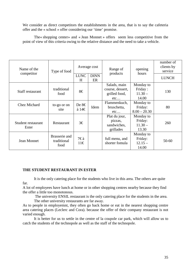We consider as direct competitors the establishments in the area, that is to say the cafeteria offer and the « school » offer considering our 'time' promise.

The« shopping center» and « Jean Monnet » offers seem less competitive from the point of view of this criteria owing to the relative distance and the need to take a vehicle.

| Name of the                 | Type of food                         | Average cost                |                   | Range of                                                 | opening<br>hours                           | number of<br>clients by<br>service |
|-----------------------------|--------------------------------------|-----------------------------|-------------------|----------------------------------------------------------|--------------------------------------------|------------------------------------|
| competitor                  |                                      | <b>LUNC</b><br>H            | <b>DINN</b><br>ER | products                                                 |                                            | <b>LUNCH</b>                       |
| Staff restaurant            | traditional<br>food                  | 8€                          |                   | Salads, main<br>course, dessert,<br>grilled food,<br>etc | Monday to<br>Friday:<br>$11.30 -$<br>14.00 | 130                                |
| <b>Chez Michard</b>         | to-go or on<br>site                  | De $8 \in$<br>$\lambda$ 14€ | Idem              | Flammenkuch,<br>bruschetta,<br>$etc.$                    | Monday to<br>Friday:<br>$8.00 - 20.30$     | 80                                 |
| Student restaurant<br>Ester | Restaurant                           | $3 \in$                     |                   | Plat du jour,<br>pizzas,<br>sandwiches,<br>grillades     | Monday to<br>Friday:<br>$11.30 -$<br>13.30 | 260                                |
| Jean Monnet                 | Brasserie and<br>traditional<br>food | 7ۈ<br>$11 \in$              |                   | full menu, and<br>shorter fomula                         | Monday to<br>Friday:<br>$12.15 -$<br>14.00 | $50 - 60$                          |

#### **THE STUDENT RESTAURANT IN ESTER**

far.

It is the only catering place for the students who live in this area. The others are quite

A lot of employees have lunch at home or in other shopping centres nearby because they find the offer a little too monotonous.

 The university ENSIL restaurant is the only catering place for the students in the area. The other university restaurants are far away.

As to people in employemnt, they often go back home or eat in the nearest shopping centre area catering places (Leclerc and Cora). because the offer of their company restaurant is not varied enough.

It is better for us to settle in the centre of la coupole car park, which will allow us to catch the students of the technopole as well as the staff of the technopole.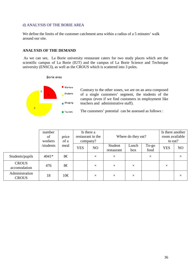#### d) ANALYSIS OF THE BORIE AREA

We define the limits of the customer catchment area within a radius of a 5 minutes' walk around our site.

#### **ANALYSIS OF THE DEMAND**

As we can see, La Borie university restaurant caters for two study places which are the scientific campus of La Borie (IUT) and the campus of La Borie Science and Technique university (ENSCI), as well as the CROUS which is scattered into 3 poles.

#### Borie area



Contrary to the other zones, we are on an area composed of a single customers' segment, the students of the campus (even if we find customers in employment like teachers and administrative staff).

The customers' potential can be assessed as follows :

|                                | number<br>of<br>workers | price<br>of a |            | Is there a<br>restaurant in the<br>company? | Where do they eat?    |              | Is there another<br>room available<br>to eat? |            |          |
|--------------------------------|-------------------------|---------------|------------|---------------------------------------------|-----------------------|--------------|-----------------------------------------------|------------|----------|
|                                | /students               | meal          | <b>YES</b> | NO                                          | Student<br>restaurant | Lunch<br>box | To-go<br>food                                 | <b>YES</b> | NO       |
| Students/pupils                | $4041*$                 | 8€            |            | $\times$                                    | $\times$              |              | $\times$                                      |            | $\times$ |
| <b>CROUS</b><br>accomodation   | 476                     | 8€            |            | $\times$                                    | $\times$              | $\times$     |                                               | $\times$   |          |
| Administration<br><b>CROUS</b> | 18                      | $10 \in$      |            | $\times$                                    | $\times$              | $\times$     |                                               |            | $\times$ |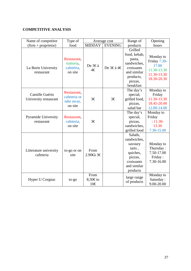# **COMPETITIVE ANALYSIS**

| Name of competitor                       | Type of                                              | Average cost           |                | Range of                                                                                                           | Opening                                                                         |
|------------------------------------------|------------------------------------------------------|------------------------|----------------|--------------------------------------------------------------------------------------------------------------------|---------------------------------------------------------------------------------|
| $(firm + proportion)$                    | food                                                 | <b>MIDDAY</b>          | <b>EVENING</b> | products                                                                                                           | hours                                                                           |
| La Borie University<br>restaurant        | Restaurant,<br>trattoria,<br>cafetéria,<br>on site   | De 3ۈ<br>4€            | De 3€à 4€      | Grilled<br>food, kebab,<br>pasta,<br>sandwiches,<br>croissants<br>and similar<br>products,<br>pizzas,<br>breakfast | Monday to<br>Friday 7.30-<br>17.00<br>11.30-13.30<br>11.30-13.30<br>18.30-20.30 |
| Camille Guérin<br>University restaurant  | Restaurant,<br>cafeteria or<br>take away,<br>on site | $3 \in$                | $3 \in$        | The day's<br>special,<br>grilled food,<br>pizzas,<br>salad bar                                                     | Monday to<br>Friday<br>11.30-13.30<br>18.45-20.00<br>12.00-14.00                |
| <b>Pyramide University</b><br>restaurant | Restaurant,<br>cafeteria,<br>on site                 | $3 \in$                |                | The day's<br>special,<br>pizzas,<br>sandwiches,<br>grilled food                                                    | Monday to<br>Friday<br>$: 11.30 -$<br>13.30<br>7.30-15.00                       |
| Litterature university<br>cafeteria      | to-go or on<br>site                                  | From<br>2.90€ 3€       |                | Salads,<br>sandwiches,<br>savoury<br>tarts,<br>quiches,<br>pizzas,<br>croissants<br>and similar<br>products        | Monday to<br>Thursday:<br>7.50-17.00<br>Friday:<br>7.30-16.00                   |
| Hyper U Corgnac                          | to-go                                                | From<br>8,50€to<br>10€ |                | large range<br>of products                                                                                         | Monday to<br>Saturday:<br>9.00-20.00                                            |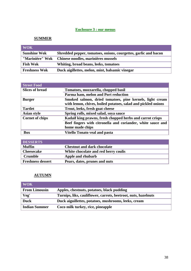# **Enclosure 3 : our menus**

# **SUMMER**

| <b>WOK</b>           |                                                                 |
|----------------------|-----------------------------------------------------------------|
| <b>Sunshine Wok</b>  | Shredded pepper, tomatoes, onions, courgettes, garlic and bacon |
| "Marinière" Wok      | Chinese noodles, marinières mussels                             |
| <b>Fish Wok</b>      | Whiting, broad beans, leeks, tomatoes                           |
| <b>Freshness Wok</b> | Duck aigillettes, melon, mint, balsamic vinegar                 |

| <b>Street Food</b>     |                                                                                                                           |
|------------------------|---------------------------------------------------------------------------------------------------------------------------|
| <b>Slices of bread</b> | Tomatoes, mozzarella, chopped basil                                                                                       |
|                        | Parma ham, melon and Port reduction                                                                                       |
| <b>Burger</b>          | Smoked salmon, dried tomatoes, pine kernels, light cream<br>with lemon, chives, boiled potatoes, salad and pickled onions |
| <b>Tartlet</b>         | Trout, leeks, fresh goat cheese                                                                                           |
| <b>Asian style</b>     | Spring rolls, mixed salad, soya sauce                                                                                     |
| <b>Cornet of chips</b> | Kadaïf king prawns, fresh chopped herbs and carrot crisps                                                                 |
|                        | Beef fingers with citronella and coriander, white sauce and                                                               |
|                        | home made chips                                                                                                           |
| Box                    | <b>Vitello Tonato veal and pasta</b>                                                                                      |

| <b>DESSERTS</b>          |                                      |
|--------------------------|--------------------------------------|
| <b>Muffin</b>            | <b>Chestnut and dark chocolate</b>   |
| <b>Cheesecake</b>        | White chocolate and red berry coulis |
| <b>Crumble</b>           | Apple and rhubarb                    |
| <b>Freshness dessert</b> | Pears, dates, prunes and nuts        |

# **AUTUMN**

| $\blacksquare$ WOK   |                                                                |
|----------------------|----------------------------------------------------------------|
| <b>From Limousin</b> | Apples, chestnuts, potatoes, black pudding                     |
| Veg'                 | Turnips, liks, cauliflower, carrots, beetroot, nuts, hazelnuts |
| <b>Duck</b>          | Duck aiguillettes, potatoes, mushrooms, leeks, cream           |
| Indian Summer        | Coco milk turkey, rice, pineapple                              |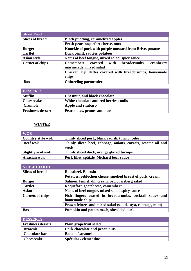| <b>Street Food</b>     |                                                                                         |  |  |
|------------------------|-----------------------------------------------------------------------------------------|--|--|
| <b>Slices of bread</b> | <b>Black pudding, caramelized apples</b>                                                |  |  |
|                        | Fresh pear, roquefort cheese, nuts                                                      |  |  |
| <b>Burger</b>          | Knuckle of pork with purple mustard from Brive, potatoes                                |  |  |
| <b>Tartlet</b>         | Duck confit, sautées potatoes                                                           |  |  |
| <b>Asian style</b>     | Nems of beef tongue, mixed salad, spicy sauce                                           |  |  |
| <b>Cornet of chips</b> | <b>Camembert</b><br>cranberry<br>with breadcrumbs,<br>covered<br>marmelade, mixed salad |  |  |
|                        | Chicken aiguillettes covered with breadcrumbs, homemade<br>chips                        |  |  |
| Box                    | <b>Chitterling parmentier</b>                                                           |  |  |

| <b>DESSERTS</b>          |                                        |
|--------------------------|----------------------------------------|
| Muffin                   | <b>Chestnut, and black chocolate</b>   |
| <b>Cheesecake</b>        | White chocolate and red berries coulis |
| <b>Crumble</b>           | Apple and rhubarb                      |
| <b>Freshness dessert</b> | Pear, dates, prunes and nuts           |

# **WINTER**

| <b>WOK</b>               |                                                                       |
|--------------------------|-----------------------------------------------------------------------|
| <b>Country style wok</b> | Thinly sliced pork, black radish, turnip, celery                      |
| <b>Beef wok</b>          | Thinly sliced beef, cabbage, onions, carrots, sesame oil and<br>seeds |
| <b>Slightly acid wok</b> | Thinly sliced duck, orange glazed turnips                             |
| <b>Alsacian wok</b>      | Pork fillet, spätzle, Michard beer sauce                              |

| <b>STREET FOOD</b>      |                                                             |
|-------------------------|-------------------------------------------------------------|
| <b>Slices of bread</b>  | <b>Roastbeef, Boursin</b>                                   |
|                         | Potatoes, reblochon cheese, smoked breast of pork, cream    |
| <b>Burger</b>           | Salmon, fennel, dill cream, bed of iceberg salad            |
| <b>Tartlet</b>          | Roquefort, goatcheese, camembert                            |
| <b>Asian</b>            | Nems of beef tongue, mixed salad, spicy sauce               |
| <b>Cornets of chips</b> | Fish fingers coated in breadcrumbs, cocktail sauce and      |
|                         | homemade chips                                              |
|                         | Prawn fritters and mixed salad (salad, soya, cabbage, mint) |
| <b>Box</b>              | Pumpkin and potato mash, shredded duck                      |

| <b>DESSERTS</b>          |                               |
|--------------------------|-------------------------------|
| <b>Freshness dessert</b> | Plain grapefruit salad        |
| <b>Brownie</b>           | Dark chocolate and pecan nuts |
| <b>Chocolate bar</b>     | <b>Banana/caramel</b>         |
| <b>Cheesecake</b>        | Spéculos / clementine         |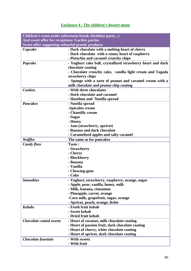# **Enclosure 4 : The children's dessert menu**

|                                                  | Children's event order (afternoon break, birthday party)    |
|--------------------------------------------------|-------------------------------------------------------------|
| And sweet offer for receptions/ Garden parties   |                                                             |
| Sweet offer suggesting colourful greedy products |                                                             |
| Cupcake                                          | - Dark chocolate with a melting heart of cherry             |
|                                                  | - Dark chocolate with a runny heart of raspberry            |
|                                                  | - Pistachio and caramel crunchy chips                       |
| Popcake                                          | - Yoghurt cake ball, crystallized strawberry heart and dark |
|                                                  | chocolate coating                                           |
|                                                  | - Chocolate crunchy cake, vanilla light cream and Tagada    |
|                                                  | strawberry chips                                            |
|                                                  | - Sponge with a taste of peanut and caramel cream with a    |
|                                                  | milk chocolate and peanut chip coating                      |
| <b>Cookies</b>                                   | - With three chocolates                                     |
|                                                  | - Dark chocolate and caramel                                |
|                                                  | - Hazelnut and Nutella spread                               |
| <b>Pancakes</b>                                  | - Nutella spread                                            |
|                                                  | -Spéculos cream                                             |
|                                                  | - Chantilly cream                                           |
|                                                  | - Sugar                                                     |
|                                                  | - Honey                                                     |
|                                                  | - Jam (strawberry, apricot)                                 |
|                                                  | - Banana and dark chocolate                                 |
|                                                  | - Caramelized apples and salty caramel                      |
| Waffles                                          | The same as for pancakes                                    |
| <b>Candy floss</b>                               | Taste:                                                      |
|                                                  | - Strawberry                                                |
|                                                  | - Cherry                                                    |
|                                                  | - Blackberry                                                |
|                                                  | - Banana                                                    |
|                                                  | - Vanilla                                                   |
|                                                  | - Chewing-gum                                               |
|                                                  | - Coke                                                      |
| <b>Smoothies</b>                                 | - Yoghurt, strawberry, raspberry, orange, sugar             |
|                                                  | - Apple, pear, vanilla, honey, milk                         |
|                                                  | - Milk, banana, cinnamon                                    |
|                                                  | - Pineapple, carrot, orange                                 |
|                                                  | -Coco milk, grapefruit, sugar, orange                       |
|                                                  | - Apricot, peach, orange, lichie                            |
| <b>Kebabs</b>                                    | - Fresh fruit kebab                                         |
|                                                  | - Sweet kebab                                               |
|                                                  | - Dried fruit kebab                                         |
| <b>Chocolate coated sweets</b>                   | - Heart of coconut, milk chocolate coating                  |
|                                                  | - Heart of passion fruit, dark chocolate coating            |
|                                                  | - Heart of cherry, white chocolate coating                  |
|                                                  | - Heart of apricot, dark chocolate coating                  |
| Chocolate fountain                               | - With sweets                                               |
|                                                  | - With fruit                                                |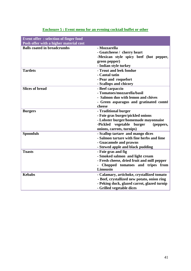| <b>Event offer: selection of finger food</b> |                                              |
|----------------------------------------------|----------------------------------------------|
| Posh offer with a higher material cost       |                                              |
| <b>Balls coated in breadcrumbs</b>           | - Mozzarella                                 |
|                                              | - Goatcheese / cherry heart                  |
|                                              | -Mexican style spicy beef (hot pepper,       |
|                                              | green pepper)                                |
|                                              | - Indian style turkey                        |
| <b>Tartlets</b>                              | - Trout and leek fondue                      |
|                                              | - Cantal tatin                               |
|                                              | - Pear and roquefort                         |
|                                              | - Scallops and chicory                       |
| <b>Slices of bread</b>                       | - Beef carpaccio                             |
|                                              | - Tomatoes/mozzarella/basil                  |
|                                              | - Salmon duo with lemon and chives           |
|                                              |                                              |
|                                              | - Green asparagus and gratinated comté       |
|                                              | cheese                                       |
| <b>Burgers</b>                               | - Traditional burger                         |
|                                              | - Foie gras burger/pickled onions            |
|                                              | - Lobster burger/homemade mayonnaise         |
|                                              | vegetable<br>-Pickled<br>burger<br>(peppers, |
|                                              | onions, carrots, turnips)                    |
| <b>Spoonfuls</b>                             | - Scallop tartare and mango dices            |
|                                              | - Salmon tartare with fine herbs and lime    |
|                                              | - Guacamole and prawns                       |
|                                              | - Stewed apple and black pudding             |
| <b>Toasts</b>                                | - Foie gras and fig                          |
|                                              | - Smoked salmon and light cream              |
|                                              | - Fresh cheese, dried fruit and mill pepper  |
|                                              | Chopped tomatoes and tripes from             |
|                                              | Limousin                                     |
| <b>Kebabs</b>                                | - Calamary, artichoke, crystallized tomato   |
|                                              | - Beef, crystallized new potato, onion ring  |
|                                              | - Peking duck, glazed carrot, glazed turnip  |
|                                              | - Grilled vegetable dices                    |

# **Enclosure 5 : Event menu for an evening cocktail buffet or other**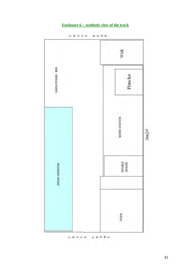# **Enclosure 6 : synthetic view of the truck**



 $\mathbf{F} \times \mathbf{D} \times \mathbf{R}$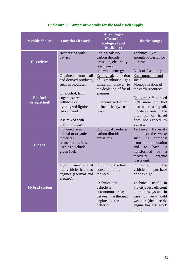| <b>Possible choices</b>           | How does it work?                                                                                                                                                                                              | <b>Advantages</b><br>(financial,<br>ecological and<br>feasibility)                                                                                                      | <b>Disadvantages</b>                                                                                                                                                                                                             |  |
|-----------------------------------|----------------------------------------------------------------------------------------------------------------------------------------------------------------------------------------------------------------|-------------------------------------------------------------------------------------------------------------------------------------------------------------------------|----------------------------------------------------------------------------------------------------------------------------------------------------------------------------------------------------------------------------------|--|
| <b>Electricity</b>                | Recharging with<br>battery.                                                                                                                                                                                    | Ecological: No<br>carbon dioxide<br>emission, electricity<br>is a clean and<br>renewable energy.                                                                        | Technical: Not<br>enough powerful for<br>our truck.<br>Lack of feasibility.                                                                                                                                                      |  |
| <b>Bio fuel</b><br>(or agro fuel) | Obtained<br>from<br>oil<br>and derived products,<br>such as biodiesel;<br>Or alcohol, from<br>sugars, starch,<br>cellulose or<br>hydrolyzed lignite<br>(bio ethanol).<br>It is mixed with<br>petrol or diesel. | Ecological: reduction<br>of greenhouse<br>gas<br>emission, answer to<br>the depletion of fossil<br>energies.<br>Financial: reduction<br>of fuel price (we use<br>less). | Environmental and<br>social:<br>Monopolization of<br>the earth resources.<br>Economic: You need<br>30% more bio fuel<br>than when using oil,<br>profitable only if the<br>price per oil barrel<br>does not exceed 75<br>dollars. |  |
| <b>Biogas</b>                     | <b>Obtained</b> from<br>animal or organic<br>materials<br>fermentation, it is<br>used as a vehicle<br>green fuel.                                                                                              | Ecological: reduces<br>carbon dioxide<br>emissions                                                                                                                      | Technical: Necessity<br>to collect the waste<br>such<br>compost<br>as<br>from the population<br>and<br>have<br>to<br>it<br>transformed<br>by<br>a<br>organic<br>recovery<br>waste unit.                                          |  |
| <b>Hybrid system</b>              | Hybrid<br>that<br>means<br>the vehicle has two<br>engines (thermal and<br>electric).                                                                                                                           | Economic: the fuel<br>consumption is<br>reduced.<br>Technical: the<br>vehicle is<br>autonomous, relay<br>between the thermal<br>engine and the<br>batteries.            | Economic:<br>the<br>vehicle<br>purchase<br>price is high.<br>Technical: useful in<br>the city, less efficient<br>on motorways and in<br>case of very cold<br>weather (the electric<br>engine has less work<br>to do).            |  |

# **Enclosure 7: Comparative study for the food truck supply**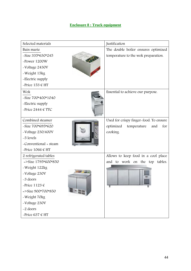# **Enclosure 8 : Truck equipment**

| Selected materials            | Justification                          |
|-------------------------------|----------------------------------------|
| Bain marie                    | The double boiler ensures optimized    |
| -Size 335*630*245             | temperature to the wok preparation.    |
| -Power 1200W                  |                                        |
| -Voltage 2430V                |                                        |
| -Weight 15kg                  |                                        |
| -Electric supply              |                                        |
| -Price $153 \text{ } \in$ HT  |                                        |
| Wok                           | Essential to achieve our purpose.      |
| -Size 700*400*1040            |                                        |
| -Electric supply              |                                        |
| -Price 2444 $\in$ TTC         |                                        |
|                               |                                        |
| Combined steamer              | Used for crispy finger-food. To ensure |
| -Size 700*695*620             | optimized<br>temperature<br>for<br>and |
| -Voltage 230/400V             | cooking.                               |
| -5 levels                     |                                        |
| -Conventional + steam         |                                        |
| -Price $1066 \text{ } \in$ HT |                                        |
| 2 refrigerated tables         | Allows to keep food in a cool place    |
| $=$ >Size 1795*600*850        | and to work on the top tables.         |
| -Weight 122kg                 |                                        |
| -Voltage 230V                 |                                        |
| -3 doors                      |                                        |
| -Price $1123 \in$             |                                        |
| $=$ >Size 900*700*850         |                                        |
| -Weight 70kg                  |                                        |
| -Voltage 230V                 |                                        |
| -2 doors                      |                                        |
| -Price 637 $\epsilon$ HT      |                                        |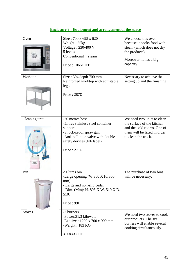| Oven          | Size: 700 x 695 x 620<br>Weight: 55kg<br>Voltage: 230/400 V<br>5 levels<br>Conventional + steam<br>Price: 1066€HT                                                                | We choose this oven<br>because it cooks food with<br>steam (which does not dry<br>the products).<br>Moreover, it has a big<br>capacity.      |
|---------------|----------------------------------------------------------------------------------------------------------------------------------------------------------------------------------|----------------------------------------------------------------------------------------------------------------------------------------------|
| Worktop       | Size: 304 depth 700 mm<br>Reinforced worktop with adjustable<br>legs.<br>Price: $287 \in$                                                                                        | Necessary to achieve the<br>setting up and the finishing.                                                                                    |
| Cleaning unit | -20 metres hose<br>-5litres stainless steel container<br>support<br>-Shock-proof spray gun<br>-Anti-pollution valve with double<br>safety devices (NF label)<br>Price: $271 \in$ | We need two units to clean<br>the surface of the kitchen<br>and the cold rooms. One of<br>them will be fixed in order<br>to clean the truck. |
| Bin           | -90litres bin<br>-Large opening (W.360 X H. 300<br>mm).<br>- Large and non-slip pedal.<br>- Dim. (Mm): H. 895 X W. 510 X D.<br>510.<br>Price : 99€                               | The purchase of two bins<br>will be necessary.                                                                                               |
| <b>Stoves</b> | -2 burners<br>-Power:31.3 kilowatt<br>-Ext size: $1200 \times 700 \times 900$ mm<br>-Weight: $183$ KG<br>3 068,43 €HT                                                            | We need two stoves to cook<br>our products. The six<br>burners will enable several<br>cooking simultaneously.                                |

# **Enclosure 9 : Equipment and arrangement of the space**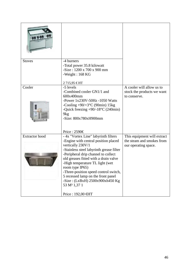| <b>Stoves</b>         | -4 burners<br>-Total power 35.8 kilowatt<br>$-Size: 1200 \times 700 \times 900$ mm<br>-Weight : $168$ KG<br>2715,95 €HT                                                                                                                                                                                                                                                                                                                                               |                                                                                  |
|-----------------------|-----------------------------------------------------------------------------------------------------------------------------------------------------------------------------------------------------------------------------------------------------------------------------------------------------------------------------------------------------------------------------------------------------------------------------------------------------------------------|----------------------------------------------------------------------------------|
| Cooler                | -5 levels<br>-Combined cooler GN1/1 and<br>600x400mm<br>-Power $1x230V-50Hz - 1050$ Watts<br>-Cooling $+90/+3$ °C (90min) 15kg<br>-Quick freezing $+90/-18$ °C (240min)<br>9 <sub>kg</sub><br>$-Size: 800x780xH900mm$<br>Price: $2590 \in$                                                                                                                                                                                                                            | A cooler will allow us to<br>stock the products we want<br>to conserve.          |
| <b>Extractor</b> hood | - 4x "Vortex Line" labyrinth filters<br>-Engine with central position placed<br>vertically 230V/1<br>-Stainless steel labyrinth grease filter<br>-Peripheral drip channel to collect<br>old greases fitted with a drain valve<br>-High temperature TL light (wet<br>room type IP65)<br>-Three-position speed control switch,<br>5 recessed lamp on the front panel<br>$-Size: (LxBxH) 2500x900xh450 Kg$<br>53 M <sup>3</sup> 1,37 1<br>Price : 192,00 <del>€</del> HT | This equipment will extract<br>the steam and smokes from<br>our operating space. |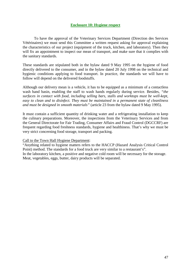#### **Enclosure 10: Hygiene respect**

To have the approval of the Veterinary Services Department (Direction des Services Vétérinaires) we must send this Committee a written request asking for approval explaining the characteristics of our project (equipment of the truck, kitchen, and laboratory). Then they will fix an appointment to inspect our mean of transport, and make sure that it complies with the sanitary standards.

These standards are stipulated both in the bylaw dated 9 May 1995 on the hygiene of food directly delivered to the consumer, and in the bylaw dated 20 July 1998 on the technical and hygienic conditions applying to food transport. In practice, the standards we will have to follow will depend on the delivered foodstuffs.

Although our delivery mean is a vehicle, it has to be equipped as a minimum of a contactless wash hand basin, enabling the staff to wash hands regularly during service. Besides, *"the surfaces in contact with food, including selling bars, stalls and worktops must be well-kept, easy to clean and to disinfect. They must be maintained in a permanent state of cleanliness and must be designed in smooth materials"* (article 23 from the bylaw dated 9 May 1995).

It must contain a sufficient quantity of drinking water and a refrigerating installation to keep the culinary preparations. Moreover, the inspections from the Veterinary Services and from the General Directorate for Fair Trading, Consumer Affairs and Fraud Control (DGCCRF) are frequent regarding food freshness standards, hygiene and healthiness. That's why we must be very strict concerning food storage, transport and packing.

#### Call to the Town Hall Hygiene Department:

"Anything related to hygiene matters refers to the HACCP (Hazard Analysis Critical Control Point) method. The standards for a food truck are very similar to a restaurant's". In the laboratory kitchen, a positive and negative cold room will be necessary for the storage. Meat, vegetables, eggs, butter, dairy products will be separated.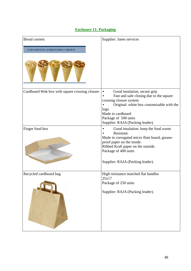| <b>Bread cornets</b><br><b>JANES SERVICES ALIMENTAIRES: CORNETS</b> | Supplier: Janes services                                                                                                                                                                                                                              |
|---------------------------------------------------------------------|-------------------------------------------------------------------------------------------------------------------------------------------------------------------------------------------------------------------------------------------------------|
| Cardboard Wok box with square crossing closure                      | Good insulation, secure grip<br>$\bullet$<br>Fast and safe closing due to the square<br>crossing closure system<br>Original: white box customizable with the<br>logo<br>Made in cardboard<br>Package of 500 units<br>Supplier: RAJA (Packing leader). |
| Finger food box                                                     | Good insulation: keep the food warm<br>Resistant.<br>Made in corrugated micro flute board, grease-<br>proof paper on the inside.<br>Ribbed Kraft paper on the outside.<br>Package of 400 units<br>Supplier: RAJA (Packing leader).                    |
| Recycled cardboard bag                                              | High resistance matched flat handles<br>25x17<br>Package of 250 units<br>Supplier: RAJA (Packing leader).                                                                                                                                             |

# **Enclosure 11: Packaging**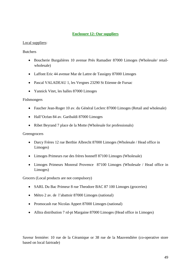#### **Enclosure 12: Our suppliers**

#### Local suppliers:

#### **Butchers**

- Boucherie Burgalières 10 avenue Prés Ramadier 87000 Limoges (Wholesale/ retailwholesale)
- Laffont Eric 44 avenue Mar de Lattre de Tassigny 87000 Limoges
- Pascal VALADEAU 1, les Vergnes 23290 St Etienne de Fursac
- Yannick Vitet, les halles 87000 Limoges

#### Fishmongers

- Faucher Jean-Roger 10 av. du Général Leclerc 87000 Limoges (Retail and wholesale)
- Hall'Océan 84 av. Garibaldi 87000 Limoges
- Ribet Beyrand 7 place de la Motte (Wholesale for professionals)

#### **Greengrocers**

- Darcy Frères 12 rue Berthie Albrecht 87000 Limoges (Wholesale / Head office in Limoges)
- Limoges Primeurs rue des frères bonneff 87100 Limoges (Wholesale)
- Limoges Primeurs Monreal Provence 87100 Limoges (Wholesale / Head office in Limoges)

Grocers (Local products are not compulsory)

- SARL Du Bac Primeur 8 rue Theodore BAC 87 100 Limoges (groceries)
- Métro 2 av. de l'abattoir 87000 Limoges (national)
- Promocash rue Nicolas Appert 87000 Limoges (national)
- Alltra distribution 7 rd-pt Margaine 87000 Limoges (Head office in Limoges)

Saveur fermière: 10 rue de la Céramique or 38 rue de la Mauvendière (co-operative store based on local fairtrade)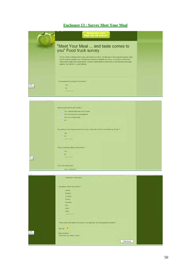# **Enclosure 13 : Survey Meet Your Meal**

|                  | Create your own<br><b>FREE ONLINE SURVEY</b>                                                                                                                                                                                                                                                                                                                                     |  |
|------------------|----------------------------------------------------------------------------------------------------------------------------------------------------------------------------------------------------------------------------------------------------------------------------------------------------------------------------------------------------------------------------------|--|
|                  | "Meet Your Meal  and taste comes to<br>you" Food truck survey                                                                                                                                                                                                                                                                                                                    |  |
|                  | We are a team of students from Lycée Jean Monnet in France. We take part in the European business Game<br>and we would be grateful if you could take few minutes to complete our survey. Our project is a food truck<br>which sends organic and local products. We use to distribuated our street food in recycled boxes and paper<br>napkins. Our leitmotiv is: green attitude. |  |
|                  | Do you know the concept of "food truck"?                                                                                                                                                                                                                                                                                                                                         |  |
| A5E8<br>Internet | Yes<br>O No<br>remove answer                                                                                                                                                                                                                                                                                                                                                     |  |
|                  |                                                                                                                                                                                                                                                                                                                                                                                  |  |
|                  | Have you got some in your country?                                                                                                                                                                                                                                                                                                                                               |  |
|                  | Yes, I have already seen one of these                                                                                                                                                                                                                                                                                                                                            |  |
|                  | Yes, the concept is in development<br>Yes, this is really trendy                                                                                                                                                                                                                                                                                                                 |  |
|                  | $\Box$ No                                                                                                                                                                                                                                                                                                                                                                        |  |
|                  |                                                                                                                                                                                                                                                                                                                                                                                  |  |
|                  | Do you know a very famous food truck in your country like in France "Le Camion qui Fume" ?                                                                                                                                                                                                                                                                                       |  |
|                  | C Yes                                                                                                                                                                                                                                                                                                                                                                            |  |
|                  | $\odot$ No                                                                                                                                                                                                                                                                                                                                                                       |  |
|                  | remove answer                                                                                                                                                                                                                                                                                                                                                                    |  |
|                  |                                                                                                                                                                                                                                                                                                                                                                                  |  |
|                  | Have you already eaten in a food truck?                                                                                                                                                                                                                                                                                                                                          |  |
|                  | O Yes                                                                                                                                                                                                                                                                                                                                                                            |  |
| <b>5E8</b>       | O No<br>remove answer                                                                                                                                                                                                                                                                                                                                                            |  |
| ternet           |                                                                                                                                                                                                                                                                                                                                                                                  |  |
|                  |                                                                                                                                                                                                                                                                                                                                                                                  |  |
|                  | If yes, how many times?<br><b>C</b> Once sometimes                                                                                                                                                                                                                                                                                                                               |  |
|                  |                                                                                                                                                                                                                                                                                                                                                                                  |  |
|                  | $\Box$ Charity fair / street party                                                                                                                                                                                                                                                                                                                                               |  |
|                  |                                                                                                                                                                                                                                                                                                                                                                                  |  |
|                  | And please, where do you from ?                                                                                                                                                                                                                                                                                                                                                  |  |
|                  | C Ireland                                                                                                                                                                                                                                                                                                                                                                        |  |
|                  | C England                                                                                                                                                                                                                                                                                                                                                                        |  |
|                  | Scotland                                                                                                                                                                                                                                                                                                                                                                         |  |
|                  | C France                                                                                                                                                                                                                                                                                                                                                                         |  |
|                  | <b>C</b> Germany                                                                                                                                                                                                                                                                                                                                                                 |  |
|                  | $C$ Italy<br>Spain                                                                                                                                                                                                                                                                                                                                                               |  |
|                  | © Other                                                                                                                                                                                                                                                                                                                                                                          |  |
|                  | remove answer                                                                                                                                                                                                                                                                                                                                                                    |  |
|                  |                                                                                                                                                                                                                                                                                                                                                                                  |  |
|                  |                                                                                                                                                                                                                                                                                                                                                                                  |  |
|                  | Thank you to have answer the survey. If you have one, we will be pleased to answer !                                                                                                                                                                                                                                                                                             |  |

See you ...

Elise et Maeya<br>Team Meet Your Meal , France

E\_ASE8<br>s Internet

Finish Survey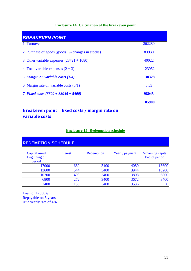# **Enclosure 14: Calculation of the breakeven point**

| <b>BREAKEVEN POINT</b>                                           |        |
|------------------------------------------------------------------|--------|
| 1. Turnover                                                      | 262280 |
| 2. Purchase of goods (goods $+/-$ changes in stocks)             | 83930  |
| 3. Other variable expenses $(28721 + 1080)$                      | 40022  |
| 4. Total variable expenses $(2 + 3)$                             | 123952 |
| 5. Margin on variable costs (1-4)                                | 138328 |
| 6. Margin rate on variable costs $(5/1)$                         | 0.53   |
| 7. Fixed costs $(6600 + 88045 + 5400)$                           | 98045  |
|                                                                  | 185900 |
| Breakeven point = fixed costs / margin rate on<br>variable costs |        |

# **Enclosure 15: Redemption schedule**

# **REDEMPTION SCHEDULE**

| Capital owed<br><b>Beginning of</b><br>period | Interest | Redemption | <b>Yearly payment</b> | <b>Remaining capital</b><br>End of period |
|-----------------------------------------------|----------|------------|-----------------------|-------------------------------------------|
| 17000                                         | 680      | 3400       | 4080                  | 13600                                     |
| 13600                                         | 544      | 3400       | 3944                  | 10200                                     |
| 10200                                         | 408      | 3400       | 3808                  | 6800                                      |
| 6800                                          | 272      | 3400       | 3672                  | 3400                                      |
| 3400                                          | 136      | 3400       | 3536                  |                                           |

Loan of 17000  $\in$ Repayable on 5 years At a yearly rate of 4%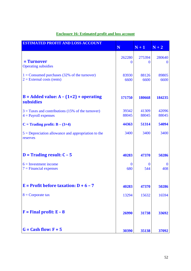| <b>ESTIMATED PROFIT AND LOSS ACCOUNT</b>                                       | N                  | $N+1$              | $N+2$               |
|--------------------------------------------------------------------------------|--------------------|--------------------|---------------------|
| = Turnover<br><b>Operating subsidies</b>                                       | 262280<br>$\Omega$ | 275394<br>$\Omega$ | 280640<br>$\bf{0}$  |
| $1 =$ Consumed purchases (32% of the turnover)<br>$2 =$ External costs (rents) | 83930<br>6600      | 88126<br>6600      | 89805<br>6600       |
| $B =$ Added value: $A - (1+2) +$ operating<br>subsidies                        | 171750             | 180668             | 184235              |
| $3 =$ Taxes and contributions (15% of the turnover)<br>$4 =$ Payroll expenses  | 39342<br>88045     | 41309<br>88045     | 42096<br>88045      |
| $C =$ Trading profit: $B - (3+4)$                                              | 44363              | 51314              | 54094               |
| $5 =$ Depreciation allowance and appropriation to the<br>reserves              | 3400               | 3400               | 3400                |
| $D = Trading result: C - 5$                                                    | 40283              | 47370              | 50286               |
| $6 =$ Investment income<br>$7 =$ Financial expenses                            | $\Omega$<br>680    | $\Omega$<br>544    | $\mathbf{0}$<br>408 |
| $E =$ Profit before taxation: $D + 6 - 7$                                      | 40283              | 47370              | 50286               |
| $8 =$ Corporate tax                                                            | 13294              | 15632              | 16594               |
| $F = Final profit: E - 8$                                                      | 26990              | 31738              | 33692               |
| $G = Cash flow: F + 5$                                                         | 30390              | 35138              | 37092               |

# **Enclosure 16: Estimated profit and loss account**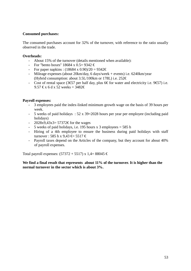#### **Consumed purchases:**

The consumed purchases account for 32% of the turnover, with reference to the ratio usually observed in the trade.

#### **Overheads:**

- About 15% of the turnover (details mentioned when available):
- For "bento boxes" 18684 x 0.5= 9342  $\in$
- For paper napkins :  $(18684 \times 0.90)/20 = 9342 \epsilon$
- Mileage expenses (about 20km/day, 6 days/week + events) i.e. 6240km/year (Hybrid consumption: about 3.5L/100km or 178L) i.e.  $252 \in$
- Cost of rental space (3 $\text{\textsterling}57$  per half day, plus 6 $\text{\textsterling}$  for water and electricity i.e. 9 $\text{\textsterling}57$ ) i.e. 9.57 € x 6 d x 52 weeks =  $3482 \in$

#### **Payroll expenses:**

- 3 employees paid the index-linked minimum growth wage on the basis of 39 hours per week.
- 5 weeks of paid holidays : 52 x 39=2028 hours per year per employee (including paid holidays)
- $-$  2028x9,43x3= 57372€ for the wages
- 5 weeks of paid holidays, i.e. 195 hours x 3 employees = 585 h
- Hiring of a 4th employee to ensure the business during paid holidays with staff turnover : 585 h x 9.43  $\in$  5517  $\in$
- Payroll taxes depend on the Articles of the company, but they account for about 40% of payroll expenses.

Total payroll expenses:  $(57372 + 5517)$  x 1,4= 88045 €

#### **We find a final result that represents about 11% of the turnover. It is higher than the normal turnover in the sector which is about 3%.**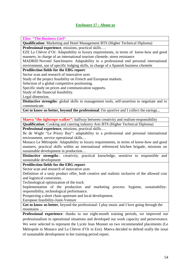# **Enclosure 17 : About us**

**Elise "The Business Girl"**

**Qualification**: Marketing and Hotel Management BTS (Higher Technical Diploma)

**Professional experience**, missions, practical skills….

EZE La Chèvre d'Or: Adaptability to luxury requirements, in terms of know-how and good manners, in charge of an international tourism clientele, stress resistance

MADRID Novotel Sanchinarro: Adaptability to a professional end personal international environment, use of specific lodging skills, in charge of a Spanish business clientele

**Predilection fields for the EBG report**:

Sector scan and research of innovative axes

Study of the project feasibility on French and European markets.

Selection of a global competitive positioning.

Specific study on prices and communication supports.

Study of the financial feasibility.

Legal dimension.

**Distinctive strengths**: global skills in management tools, self-assertion to negotiate and to communicate.

**Get to know us better, beyond the professional**: I'm sportive and I collect the earings...

**Maeva "the tightrope walker":** halfway between creativity and realism-responsibility

**Qualification**: Cooking and catering industry Arts BTS (Higher Technical Diploma)

**Professional experience**, missions, practical skills….

Ile de Wight "Le Priory Bay": adaptability to a professional and personal international environment, service operational skills…

Monaco Le Métropole: Adaptability to luxury requirements, in terms of know-how and good manners, practical skills within an international referenced kitchen brigade, missions on sustainable development in production…

**Distinctive strengths**: creativity, practical knowledge, sensitive to responsible and sustainable development

**Predilection fields for the EBG report**:

Sector scan and research of innovative axes

Definition of a tasty product offer, both creative and realistic inclusive of the allowed cost and logistical constraints.

Technological optimization of the truck

Implementation of the production and marketing process: hygiene, sustainabilityresponsibility, technological performance.

Prospecting a short chain upstream and local development.

European feasibility-Joint-Venture

**Get to know us better**, beyond the professional: I play music and I love going through the mountains ...

**Professional experience**: thanks to our eight-month training periods, we improved our professionalism in operational situations and developed our work capacity and perseverance. We were selected to represent the Lycée Jean Monnet on two recommended placements (Le Métropole in Monaco and La Chèvre d'Or in Eze). Maeva decided to defend orally the issue of sustainable development in her training period report.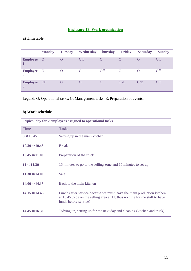# **Enclosure 18: Work organization**

# **a) Timetable**

|                     | <b>Monday</b> | <b>Tuesday</b> | <b>Wednesday Thursday</b> |          | <b>Friday</b>    | <b>Saturday</b> | <b>Sunday</b> |
|---------------------|---------------|----------------|---------------------------|----------|------------------|-----------------|---------------|
| <b>Employee</b> O   |               |                | <b>Off</b>                |          | $\left( \right)$ |                 | <b>Off</b>    |
| <b>Employee</b> O   |               | $\cup$         | $\cup$                    | Off      | O                |                 | <b>Off</b>    |
| <b>Employee</b> Off |               | G              | $\Omega$                  | $\Omega$ | G/E              | G/E             | <b>Off</b>    |

Legend: O: Operational tasks; G: Management tasks; E: Preparation of events.

# **b) Work schedule**

|                           | Typical day for 2 employees assigned to operational tasks                                                                                                                         |
|---------------------------|-----------------------------------------------------------------------------------------------------------------------------------------------------------------------------------|
| <b>Time</b>               | <b>Tasks</b>                                                                                                                                                                      |
| $8 \Rightarrow 10.45$     | Setting up in the main kitchen                                                                                                                                                    |
| $10.30 \Rightarrow 10.45$ | <b>Break</b>                                                                                                                                                                      |
| $10.45 \Rightarrow 11.00$ | Preparation of the truck                                                                                                                                                          |
| $11 \Rightarrow 11.30$    | 15 minutes to go to the selling zone and 15 minutes to set up                                                                                                                     |
| $11.30 \div 14.00$        | Sale                                                                                                                                                                              |
| $14.00 \Rightarrow 14.15$ | Back to the main kitchen                                                                                                                                                          |
| $14.15 \Rightarrow 14.45$ | Lunch (after service because we must leave the main production kitchen<br>at $10.45$ to be on the selling area at 11, thus no time for the staff to have<br>lunch before service) |
| $14.45 \Rightarrow 16.30$ | Tidying up, setting up for the next day and cleaning (kitchen and truck)                                                                                                          |

**Typical day for 2 employees assigned to operational tasks**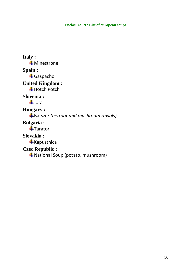# **Enclosure 19 : List of european soups**

# **Italy : Minestrone Spain :** Gaspacho **United Kingdom : Hotch Potch Slovenia :**  $\ddagger$ Jota **Hungary :** Barszcz *(betroot and mushroom raviols)* **Bulgaria : Tarator Slovakia :**  $\frac{1}{2}$ Kapustnica **Czec Republic :**

National Soup (potato, mushroom)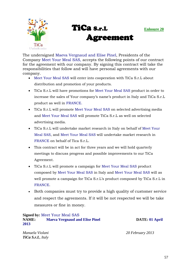



The undersigned Maeva Vergnaud and Elise Pinel, Presidents of the Company Meet Your Meal SAS, accepts the following points of our contract for the agreement with our company. By signing this contract will take the responsibilities that follow and will have personal agreements with our company.

- Meet Your Meal SAS will enter into cooperation with TiCa S.r.L about distribution and promotion of your products.
- TiCa S.r.L will have promotions for Meet Your Meal SAS product in order to increase the sales of Your company's name's product in Italy and TiCa S.r.L product as well in FRANCE.
- TiCa S.r.L will promote Meet Your Meal SAS on selected advertising media and Meet Your Meal SAS will promote TiCa S.r.L as well on selected advertising media.
- TiCa S.r.L will undertake market research in Italy on behalf of Meet Your Meal SAS, and Meet Your Meal SAS will undertake market research in FRANCE on behalf of Tica S.r.L.
- This contract will be in act for three years and we will hold quarterly meetings to discuss progress and possible improvements to our TiCa Agreement.
- TiCa S.r.L will promote a campaign for Meet Your Meal SAS product composed by Meet Your Meal SAS in Italy and Meet Your Meal SAS will as well promote a campaign for TiCa S.r.L's product composed by TiCa S.r.L in FRANCE.
- Both companies must try to provide a high quality of customer service and respect the agreements. If it will be not respected we will be take measures or fine in money.

#### **Signed by:** Meet Your Meal SAS **NAME:** Maeva Vergnaud and Elise Pinel DATE: 01 April **2013**

*TiCa S.r.L, Italy* 

*Manuela Violani 20 February 2013*